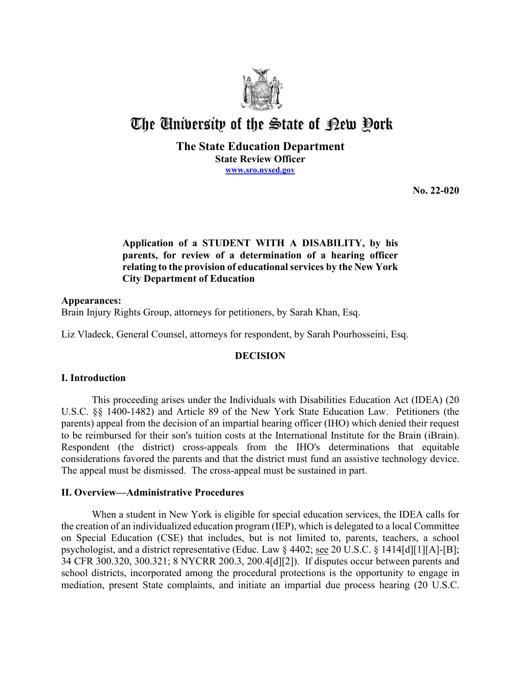

# The University of the State of Pew Pork

## **The State Education Department State Review Officer [www.sro.nysed.gov](http://www.sro.nysed.gov/)**

**No. 22-020**

## **Application of a STUDENT WITH A DISABILITY, by his parents, for review of a determination of a hearing officer relating to the provision of educational services by the New York City Department of Education**

### **Appearances:**

Brain Injury Rights Group, attorneys for petitioners, by Sarah Khan, Esq.

Liz Vladeck, General Counsel, attorneys for respondent, by Sarah Pourhosseini, Esq.

## **DECISION**

#### **I. Introduction**

This proceeding arises under the Individuals with Disabilities Education Act (IDEA) (20 U.S.C. §§ 1400-1482) and Article 89 of the New York State Education Law. Petitioners (the parents) appeal from the decision of an impartial hearing officer (IHO) which denied their request to be reimbursed for their son's tuition costs at the International Institute for the Brain (iBrain). Respondent (the district) cross-appeals from the IHO's determinations that equitable considerations favored the parents and that the district must fund an assistive technology device. The appeal must be dismissed. The cross-appeal must be sustained in part.

#### **II. Overview—Administrative Procedures**

When a student in New York is eligible for special education services, the IDEA calls for the creation of an individualized education program (IEP), which is delegated to a local Committee on Special Education (CSE) that includes, but is not limited to, parents, teachers, a school psychologist, and a district representative (Educ. Law § 4402; see 20 U.S.C. § 1414[d][1][A]-[B]; 34 CFR 300.320, 300.321; 8 NYCRR 200.3, 200.4[d][2]). If disputes occur between parents and school districts, incorporated among the procedural protections is the opportunity to engage in mediation, present State complaints, and initiate an impartial due process hearing (20 U.S.C.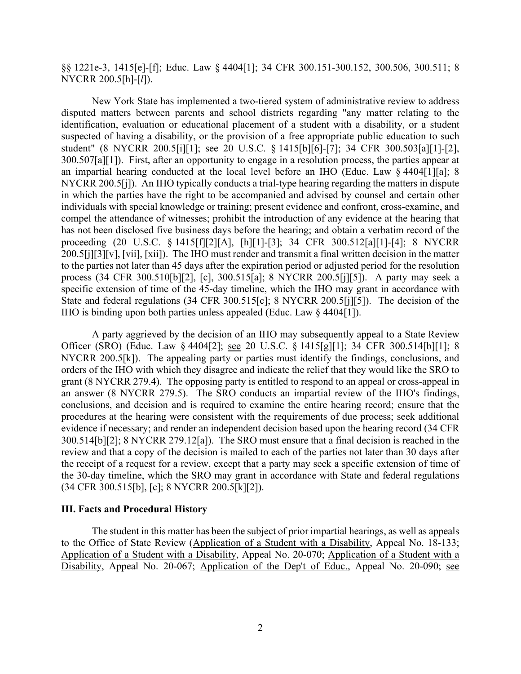§§ 1221e-3, 1415[e]-[f]; Educ. Law § 4404[1]; 34 CFR 300.151-300.152, 300.506, 300.511; 8 NYCRR 200.5[h]-[*l*]).

New York State has implemented a two-tiered system of administrative review to address disputed matters between parents and school districts regarding "any matter relating to the identification, evaluation or educational placement of a student with a disability, or a student suspected of having a disability, or the provision of a free appropriate public education to such student" (8 NYCRR 200.5[i][1]; see 20 U.S.C. § 1415[b][6]-[7]; 34 CFR 300.503[a][1]-[2], 300.507[a][1]). First, after an opportunity to engage in a resolution process, the parties appear at an impartial hearing conducted at the local level before an IHO (Educ. Law § 4404[1][a]; 8 NYCRR 200.5[j]). An IHO typically conducts a trial-type hearing regarding the matters in dispute in which the parties have the right to be accompanied and advised by counsel and certain other individuals with special knowledge or training; present evidence and confront, cross-examine, and compel the attendance of witnesses; prohibit the introduction of any evidence at the hearing that has not been disclosed five business days before the hearing; and obtain a verbatim record of the proceeding (20 U.S.C. § 1415[f][2][A], [h][1]-[3]; 34 CFR 300.512[a][1]-[4]; 8 NYCRR 200.5[j][3][v], [vii], [xii]). The IHO must render and transmit a final written decision in the matter to the parties not later than 45 days after the expiration period or adjusted period for the resolution process (34 CFR 300.510[b][2], [c], 300.515[a]; 8 NYCRR 200.5[j][5]). A party may seek a specific extension of time of the 45-day timeline, which the IHO may grant in accordance with State and federal regulations (34 CFR 300.515[c]; 8 NYCRR 200.5[j][5]). The decision of the IHO is binding upon both parties unless appealed (Educ. Law § 4404[1]).

A party aggrieved by the decision of an IHO may subsequently appeal to a State Review Officer (SRO) (Educ. Law § 4404[2]; see 20 U.S.C. § 1415[g][1]; 34 CFR 300.514[b][1]; 8 NYCRR 200.5[k]). The appealing party or parties must identify the findings, conclusions, and orders of the IHO with which they disagree and indicate the relief that they would like the SRO to grant (8 NYCRR 279.4). The opposing party is entitled to respond to an appeal or cross-appeal in an answer (8 NYCRR 279.5). The SRO conducts an impartial review of the IHO's findings, conclusions, and decision and is required to examine the entire hearing record; ensure that the procedures at the hearing were consistent with the requirements of due process; seek additional evidence if necessary; and render an independent decision based upon the hearing record (34 CFR 300.514[b][2]; 8 NYCRR 279.12[a]). The SRO must ensure that a final decision is reached in the review and that a copy of the decision is mailed to each of the parties not later than 30 days after the receipt of a request for a review, except that a party may seek a specific extension of time of the 30-day timeline, which the SRO may grant in accordance with State and federal regulations (34 CFR 300.515[b], [c]; 8 NYCRR 200.5[k][2]).

#### **III. Facts and Procedural History**

The student in this matter has been the subject of prior impartial hearings, as well as appeals to the Office of State Review (Application of a Student with a Disability, Appeal No. 18-133; Application of a Student with a Disability, Appeal No. 20-070; Application of a Student with a Disability, Appeal No. 20-067; Application of the Dep't of Educ., Appeal No. 20-090; see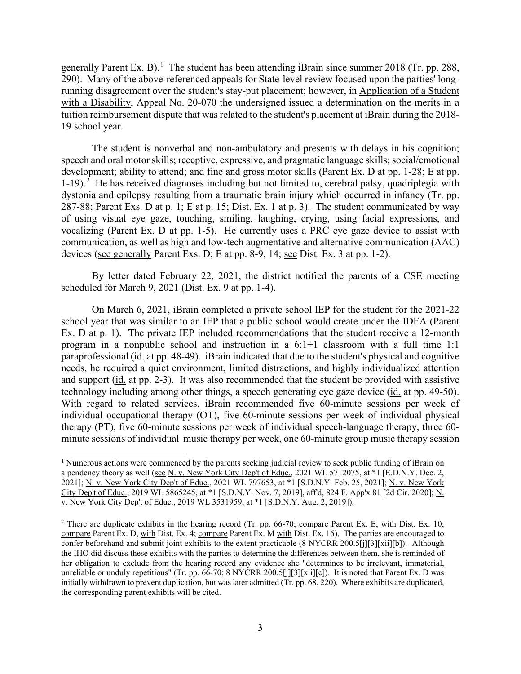generally Parent Ex. B).<sup>[1](#page-2-0)</sup> The student has been attending iBrain since summer 2018 (Tr. pp. 288, 290). Many of the above-referenced appeals for State-level review focused upon the parties' longrunning disagreement over the student's stay-put placement; however, in Application of a Student with a Disability, Appeal No. 20-070 the undersigned issued a determination on the merits in a tuition reimbursement dispute that was related to the student's placement at iBrain during the 2018- 19 school year.

The student is nonverbal and non-ambulatory and presents with delays in his cognition; speech and oral motor skills; receptive, expressive, and pragmatic language skills; social/emotional development; ability to attend; and fine and gross motor skills (Parent Ex. D at pp. 1-28; E at pp. 1-19).<sup>[2](#page-2-1)</sup> He has received diagnoses including but not limited to, cerebral palsy, quadriplegia with dystonia and epilepsy resulting from a traumatic brain injury which occurred in infancy (Tr. pp. 287-88; Parent Exs. D at p. 1; E at p. 15; Dist. Ex. 1 at p. 3). The student communicated by way of using visual eye gaze, touching, smiling, laughing, crying, using facial expressions, and vocalizing (Parent Ex. D at pp. 1-5). He currently uses a PRC eye gaze device to assist with communication, as well as high and low-tech augmentative and alternative communication (AAC) devices (see generally Parent Exs. D; E at pp. 8-9, 14; see Dist. Ex. 3 at pp. 1-2).

By letter dated February 22, 2021, the district notified the parents of a CSE meeting scheduled for March 9, 2021 (Dist. Ex. 9 at pp. 1-4).

On March 6, 2021, iBrain completed a private school IEP for the student for the 2021-22 school year that was similar to an IEP that a public school would create under the IDEA (Parent Ex. D at p. 1). The private IEP included recommendations that the student receive a 12-month program in a nonpublic school and instruction in a 6:1+1 classroom with a full time 1:1 paraprofessional (id. at pp. 48-49). iBrain indicated that due to the student's physical and cognitive needs, he required a quiet environment, limited distractions, and highly individualized attention and support (id. at pp. 2-3). It was also recommended that the student be provided with assistive technology including among other things, a speech generating eye gaze device (id. at pp. 49-50). With regard to related services, iBrain recommended five 60-minute sessions per week of individual occupational therapy (OT), five 60-minute sessions per week of individual physical therapy (PT), five 60-minute sessions per week of individual speech-language therapy, three 60 minute sessions of individual music therapy per week, one 60-minute group music therapy session

<span id="page-2-0"></span><sup>&</sup>lt;sup>1</sup> Numerous actions were commenced by the parents seeking judicial review to seek public funding of iBrain on a pendency theory as well (see N. v. New York City Dep't of Educ., 2021 WL 5712075, at \*1 [E.D.N.Y. Dec. 2, 2021]; N. v. New York City Dep't of Educ., 2021 WL 797653, at \*1 [S.D.N.Y. Feb. 25, 2021]; N. v. New York City Dep't of Educ., 2019 WL 5865245, at \*1 [S.D.N.Y. Nov. 7, 2019], aff'd, 824 F. App'x 81 [2d Cir. 2020]; N. v. New York City Dep't of Educ., 2019 WL 3531959, at \*1 [S.D.N.Y. Aug. 2, 2019]).

<span id="page-2-1"></span><sup>&</sup>lt;sup>2</sup> There are duplicate exhibits in the hearing record (Tr. pp. 66-70; compare Parent Ex. E, with Dist. Ex. 10; compare Parent Ex. D, with Dist. Ex. 4; compare Parent Ex. M with Dist. Ex. 16). The parties are encouraged to confer beforehand and submit joint exhibits to the extent practicable (8 NYCRR 200.5[j][3][xii][b]). Although the IHO did discuss these exhibits with the parties to determine the differences between them, she is reminded of her obligation to exclude from the hearing record any evidence she "determines to be irrelevant, immaterial, unreliable or unduly repetitious" (Tr. pp. 66-70; 8 NYCRR 200.5[j][3][xij][c]). It is noted that Parent Ex. D was initially withdrawn to prevent duplication, but was later admitted (Tr. pp. 68, 220). Where exhibits are duplicated, the corresponding parent exhibits will be cited.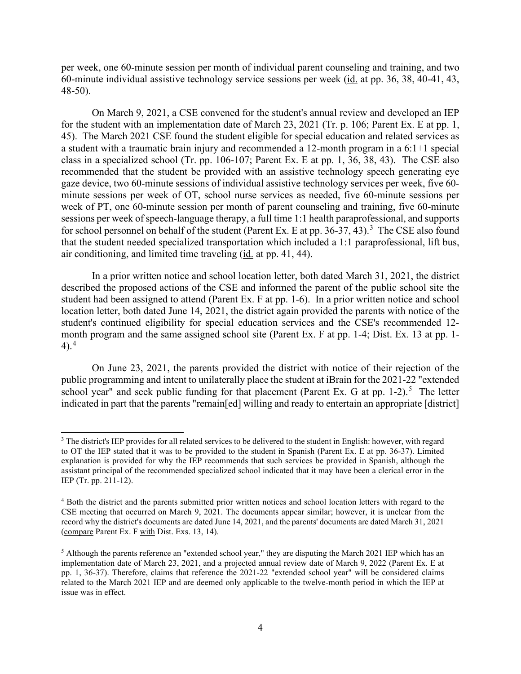per week, one 60-minute session per month of individual parent counseling and training, and two 60-minute individual assistive technology service sessions per week (id. at pp. 36, 38, 40-41, 43, 48-50).

On March 9, 2021, a CSE convened for the student's annual review and developed an IEP for the student with an implementation date of March 23, 2021 (Tr. p. 106; Parent Ex. E at pp. 1, 45). The March 2021 CSE found the student eligible for special education and related services as a student with a traumatic brain injury and recommended a 12-month program in a 6:1+1 special class in a specialized school (Tr. pp. 106-107; Parent Ex. E at pp. 1, 36, 38, 43). The CSE also recommended that the student be provided with an assistive technology speech generating eye gaze device, two 60-minute sessions of individual assistive technology services per week, five 60 minute sessions per week of OT, school nurse services as needed, five 60-minute sessions per week of PT, one 60-minute session per month of parent counseling and training, five 60-minute sessions per week of speech-language therapy, a full time 1:1 health paraprofessional, and supports for school personnel on behalf of the student (Parent Ex. E at pp. [3](#page-3-0)6-37, 43).<sup>3</sup> The CSE also found that the student needed specialized transportation which included a 1:1 paraprofessional, lift bus, air conditioning, and limited time traveling (id. at pp. 41, 44).

In a prior written notice and school location letter, both dated March 31, 2021, the district described the proposed actions of the CSE and informed the parent of the public school site the student had been assigned to attend (Parent Ex. F at pp. 1-6). In a prior written notice and school location letter, both dated June 14, 2021, the district again provided the parents with notice of the student's continued eligibility for special education services and the CSE's recommended 12 month program and the same assigned school site (Parent Ex. F at pp. 1-4; Dist. Ex. 13 at pp. 1-  $4$ ).<sup>4</sup>

On June 23, 2021, the parents provided the district with notice of their rejection of the public programming and intent to unilaterally place the student at iBrain for the 2021-22 "extended school year" and seek public funding for that placement (Parent Ex. G at pp. 1-2).<sup>[5](#page-3-2)</sup> The letter indicated in part that the parents "remain[ed] willing and ready to entertain an appropriate [district]

<span id="page-3-0"></span><sup>&</sup>lt;sup>3</sup> The district's IEP provides for all related services to be delivered to the student in English: however, with regard to OT the IEP stated that it was to be provided to the student in Spanish (Parent Ex. E at pp. 36-37). Limited explanation is provided for why the IEP recommends that such services be provided in Spanish, although the assistant principal of the recommended specialized school indicated that it may have been a clerical error in the IEP (Tr. pp. 211-12).

<span id="page-3-1"></span><sup>4</sup> Both the district and the parents submitted prior written notices and school location letters with regard to the CSE meeting that occurred on March 9, 2021. The documents appear similar; however, it is unclear from the record why the district's documents are dated June 14, 2021, and the parents' documents are dated March 31, 2021 (compare Parent Ex. F with Dist. Exs. 13, 14).

<span id="page-3-2"></span><sup>5</sup> Although the parents reference an "extended school year," they are disputing the March 2021 IEP which has an implementation date of March 23, 2021, and a projected annual review date of March 9, 2022 (Parent Ex. E at pp. 1, 36-37). Therefore, claims that reference the 2021-22 "extended school year" will be considered claims related to the March 2021 IEP and are deemed only applicable to the twelve-month period in which the IEP at issue was in effect.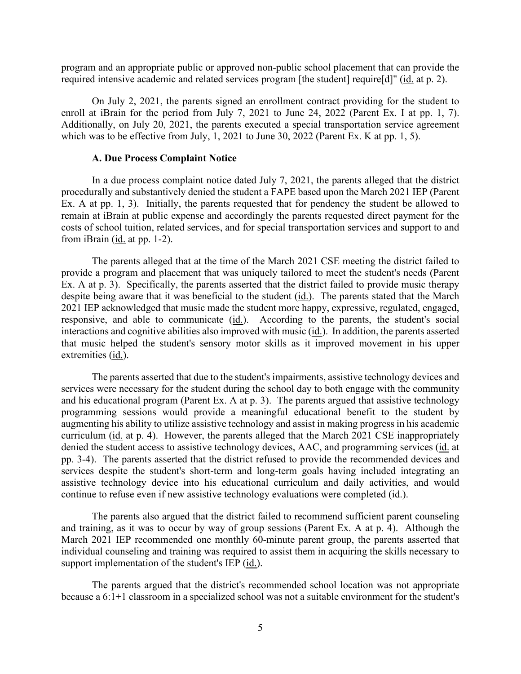program and an appropriate public or approved non-public school placement that can provide the required intensive academic and related services program [the student] require[d]" (id. at p. 2).

On July 2, 2021, the parents signed an enrollment contract providing for the student to enroll at iBrain for the period from July 7, 2021 to June 24, 2022 (Parent Ex. I at pp. 1, 7). Additionally, on July 20, 2021, the parents executed a special transportation service agreement which was to be effective from July, 1, 2021 to June 30, 2022 (Parent Ex. K at pp. 1, 5).

#### **A. Due Process Complaint Notice**

In a due process complaint notice dated July 7, 2021, the parents alleged that the district procedurally and substantively denied the student a FAPE based upon the March 2021 IEP (Parent Ex. A at pp. 1, 3). Initially, the parents requested that for pendency the student be allowed to remain at iBrain at public expense and accordingly the parents requested direct payment for the costs of school tuition, related services, and for special transportation services and support to and from iBrain (id. at pp. 1-2).

The parents alleged that at the time of the March 2021 CSE meeting the district failed to provide a program and placement that was uniquely tailored to meet the student's needs (Parent Ex. A at p. 3). Specifically, the parents asserted that the district failed to provide music therapy despite being aware that it was beneficial to the student (id.). The parents stated that the March 2021 IEP acknowledged that music made the student more happy, expressive, regulated, engaged, responsive, and able to communicate (id.). According to the parents, the student's social interactions and cognitive abilities also improved with music (id.). In addition, the parents asserted that music helped the student's sensory motor skills as it improved movement in his upper extremities (id.).

The parents asserted that due to the student's impairments, assistive technology devices and services were necessary for the student during the school day to both engage with the community and his educational program (Parent Ex. A at p. 3). The parents argued that assistive technology programming sessions would provide a meaningful educational benefit to the student by augmenting his ability to utilize assistive technology and assist in making progress in his academic curriculum (id. at p. 4). However, the parents alleged that the March 2021 CSE inappropriately denied the student access to assistive technology devices, AAC, and programming services (id. at pp. 3-4). The parents asserted that the district refused to provide the recommended devices and services despite the student's short-term and long-term goals having included integrating an assistive technology device into his educational curriculum and daily activities, and would continue to refuse even if new assistive technology evaluations were completed (id.).

The parents also argued that the district failed to recommend sufficient parent counseling and training, as it was to occur by way of group sessions (Parent Ex. A at p. 4). Although the March 2021 IEP recommended one monthly 60-minute parent group, the parents asserted that individual counseling and training was required to assist them in acquiring the skills necessary to support implementation of the student's IEP (id.).

The parents argued that the district's recommended school location was not appropriate because a 6:1+1 classroom in a specialized school was not a suitable environment for the student's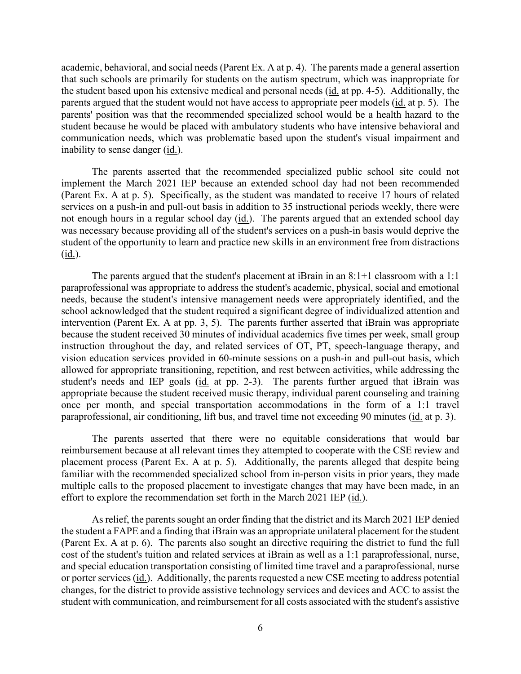academic, behavioral, and social needs (Parent Ex. A at p. 4). The parents made a general assertion that such schools are primarily for students on the autism spectrum, which was inappropriate for the student based upon his extensive medical and personal needs (id. at pp. 4-5). Additionally, the parents argued that the student would not have access to appropriate peer models (id. at p. 5). The parents' position was that the recommended specialized school would be a health hazard to the student because he would be placed with ambulatory students who have intensive behavioral and communication needs, which was problematic based upon the student's visual impairment and inability to sense danger (id.).

The parents asserted that the recommended specialized public school site could not implement the March 2021 IEP because an extended school day had not been recommended (Parent Ex. A at p. 5). Specifically, as the student was mandated to receive 17 hours of related services on a push-in and pull-out basis in addition to 35 instructional periods weekly, there were not enough hours in a regular school day (id.). The parents argued that an extended school day was necessary because providing all of the student's services on a push-in basis would deprive the student of the opportunity to learn and practice new skills in an environment free from distractions (id.).

The parents argued that the student's placement at iBrain in an 8:1+1 classroom with a 1:1 paraprofessional was appropriate to address the student's academic, physical, social and emotional needs, because the student's intensive management needs were appropriately identified, and the school acknowledged that the student required a significant degree of individualized attention and intervention (Parent Ex. A at pp. 3, 5). The parents further asserted that iBrain was appropriate because the student received 30 minutes of individual academics five times per week, small group instruction throughout the day, and related services of OT, PT, speech-language therapy, and vision education services provided in 60-minute sessions on a push-in and pull-out basis, which allowed for appropriate transitioning, repetition, and rest between activities, while addressing the student's needs and IEP goals (id. at pp. 2-3). The parents further argued that iBrain was appropriate because the student received music therapy, individual parent counseling and training once per month, and special transportation accommodations in the form of a 1:1 travel paraprofessional, air conditioning, lift bus, and travel time not exceeding 90 minutes (id. at p. 3).

The parents asserted that there were no equitable considerations that would bar reimbursement because at all relevant times they attempted to cooperate with the CSE review and placement process (Parent Ex. A at p. 5). Additionally, the parents alleged that despite being familiar with the recommended specialized school from in-person visits in prior years, they made multiple calls to the proposed placement to investigate changes that may have been made, in an effort to explore the recommendation set forth in the March 2021 IEP (id.).

As relief, the parents sought an order finding that the district and its March 2021 IEP denied the student a FAPE and a finding that iBrain was an appropriate unilateral placement for the student (Parent Ex. A at p. 6). The parents also sought an directive requiring the district to fund the full cost of the student's tuition and related services at iBrain as well as a 1:1 paraprofessional, nurse, and special education transportation consisting of limited time travel and a paraprofessional, nurse or porter services (id.). Additionally, the parents requested a new CSE meeting to address potential changes, for the district to provide assistive technology services and devices and ACC to assist the student with communication, and reimbursement for all costs associated with the student's assistive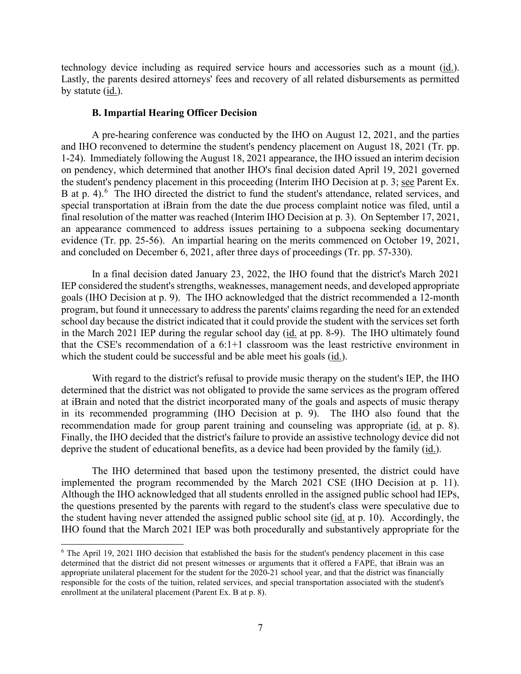technology device including as required service hours and accessories such as a mount (id.). Lastly, the parents desired attorneys' fees and recovery of all related disbursements as permitted by statute (id.).

#### **B. Impartial Hearing Officer Decision**

A pre-hearing conference was conducted by the IHO on August 12, 2021, and the parties and IHO reconvened to determine the student's pendency placement on August 18, 2021 (Tr. pp. 1-24). Immediately following the August 18, 2021 appearance, the IHO issued an interim decision on pendency, which determined that another IHO's final decision dated April 19, 2021 governed the student's pendency placement in this proceeding (Interim IHO Decision at p. 3; see Parent Ex. B at p. 4).<sup>[6](#page-6-0)</sup> The IHO directed the district to fund the student's attendance, related services, and special transportation at iBrain from the date the due process complaint notice was filed, until a final resolution of the matter was reached (Interim IHO Decision at p. 3). On September 17, 2021, an appearance commenced to address issues pertaining to a subpoena seeking documentary evidence (Tr. pp. 25-56). An impartial hearing on the merits commenced on October 19, 2021, and concluded on December 6, 2021, after three days of proceedings (Tr. pp. 57-330).

In a final decision dated January 23, 2022, the IHO found that the district's March 2021 IEP considered the student's strengths, weaknesses, management needs, and developed appropriate goals (IHO Decision at p. 9). The IHO acknowledged that the district recommended a 12-month program, but found it unnecessary to address the parents' claims regarding the need for an extended school day because the district indicated that it could provide the student with the services set forth in the March 2021 IEP during the regular school day (id. at pp. 8-9). The IHO ultimately found that the CSE's recommendation of a 6:1+1 classroom was the least restrictive environment in which the student could be successful and be able meet his goals (id.).

With regard to the district's refusal to provide music therapy on the student's IEP, the IHO determined that the district was not obligated to provide the same services as the program offered at iBrain and noted that the district incorporated many of the goals and aspects of music therapy in its recommended programming (IHO Decision at p. 9). The IHO also found that the recommendation made for group parent training and counseling was appropriate (id. at p. 8). Finally, the IHO decided that the district's failure to provide an assistive technology device did not deprive the student of educational benefits, as a device had been provided by the family (id.).

The IHO determined that based upon the testimony presented, the district could have implemented the program recommended by the March 2021 CSE (IHO Decision at p. 11). Although the IHO acknowledged that all students enrolled in the assigned public school had IEPs, the questions presented by the parents with regard to the student's class were speculative due to the student having never attended the assigned public school site (id. at p. 10). Accordingly, the IHO found that the March 2021 IEP was both procedurally and substantively appropriate for the

<span id="page-6-0"></span><sup>6</sup> The April 19, 2021 IHO decision that established the basis for the student's pendency placement in this case determined that the district did not present witnesses or arguments that it offered a FAPE, that iBrain was an appropriate unilateral placement for the student for the 2020-21 school year, and that the district was financially responsible for the costs of the tuition, related services, and special transportation associated with the student's enrollment at the unilateral placement (Parent Ex. B at p. 8).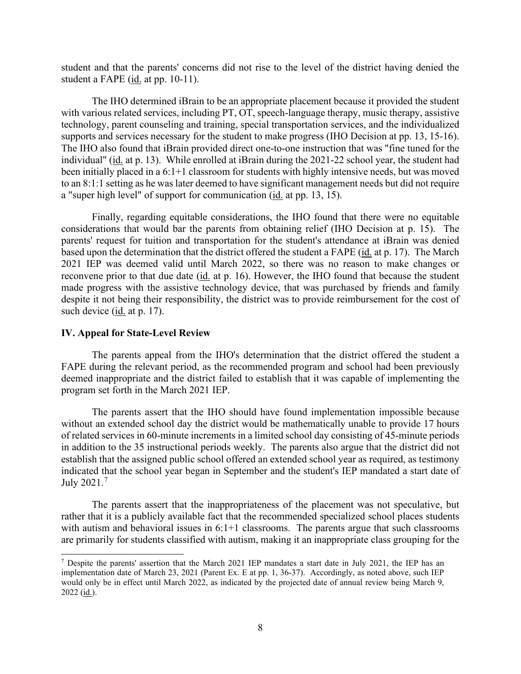student and that the parents' concerns did not rise to the level of the district having denied the student a FAPE (id. at pp. 10-11).

The IHO determined iBrain to be an appropriate placement because it provided the student with various related services, including PT, OT, speech-language therapy, music therapy, assistive technology, parent counseling and training, special transportation services, and the individualized supports and services necessary for the student to make progress (IHO Decision at pp. 13, 15-16). The IHO also found that iBrain provided direct one-to-one instruction that was "fine tuned for the individual" (id. at p. 13). While enrolled at iBrain during the 2021-22 school year, the student had been initially placed in a 6:1+1 classroom for students with highly intensive needs, but was moved to an 8:1:1 setting as he was later deemed to have significant management needs but did not require a "super high level" of support for communication (id. at pp. 13, 15).

Finally, regarding equitable considerations, the IHO found that there were no equitable considerations that would bar the parents from obtaining relief (IHO Decision at p. 15). The parents' request for tuition and transportation for the student's attendance at iBrain was denied based upon the determination that the district offered the student a FAPE (id. at p. 17). The March 2021 IEP was deemed valid until March 2022, so there was no reason to make changes or reconvene prior to that due date (id. at p. 16). However, the IHO found that because the student made progress with the assistive technology device, that was purchased by friends and family despite it not being their responsibility, the district was to provide reimbursement for the cost of such device (id. at p. 17).

#### **IV. Appeal for State-Level Review**

The parents appeal from the IHO's determination that the district offered the student a FAPE during the relevant period, as the recommended program and school had been previously deemed inappropriate and the district failed to establish that it was capable of implementing the program set forth in the March 2021 IEP.

The parents assert that the IHO should have found implementation impossible because without an extended school day the district would be mathematically unable to provide 17 hours of related services in 60-minute increments in a limited school day consisting of 45-minute periods in addition to the 35 instructional periods weekly. The parents also argue that the district did not establish that the assigned public school offered an extended school year as required, as testimony indicated that the school year began in September and the student's IEP mandated a start date of July 2021.[7](#page-7-0)

The parents assert that the inappropriateness of the placement was not speculative, but rather that it is a publicly available fact that the recommended specialized school places students with autism and behavioral issues in 6:1+1 classrooms. The parents argue that such classrooms are primarily for students classified with autism, making it an inappropriate class grouping for the

<span id="page-7-0"></span><sup>7</sup> Despite the parents' assertion that the March 2021 IEP mandates a start date in July 2021, the IEP has an implementation date of March 23, 2021 (Parent Ex. E at pp. 1, 36-37). Accordingly, as noted above, such IEP would only be in effect until March 2022, as indicated by the projected date of annual review being March 9,  $2022$  (id.).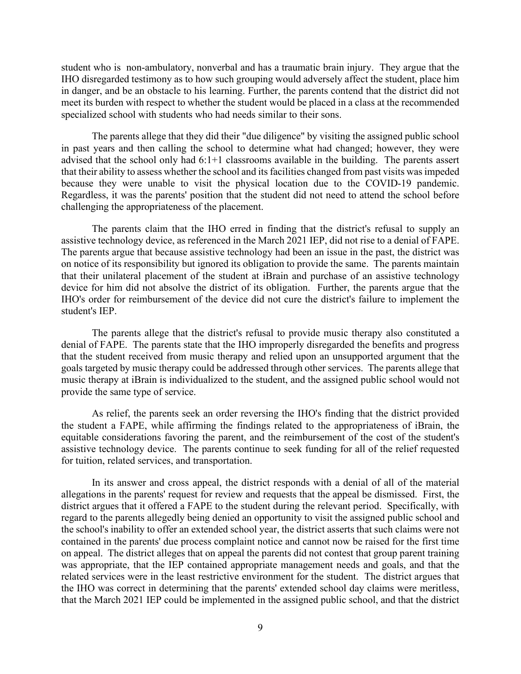student who is non-ambulatory, nonverbal and has a traumatic brain injury. They argue that the IHO disregarded testimony as to how such grouping would adversely affect the student, place him in danger, and be an obstacle to his learning. Further, the parents contend that the district did not meet its burden with respect to whether the student would be placed in a class at the recommended specialized school with students who had needs similar to their sons.

The parents allege that they did their "due diligence" by visiting the assigned public school in past years and then calling the school to determine what had changed; however, they were advised that the school only had 6:1+1 classrooms available in the building. The parents assert that their ability to assess whether the school and its facilities changed from past visits was impeded because they were unable to visit the physical location due to the COVID-19 pandemic. Regardless, it was the parents' position that the student did not need to attend the school before challenging the appropriateness of the placement.

The parents claim that the IHO erred in finding that the district's refusal to supply an assistive technology device, as referenced in the March 2021 IEP, did not rise to a denial of FAPE. The parents argue that because assistive technology had been an issue in the past, the district was on notice of its responsibility but ignored its obligation to provide the same. The parents maintain that their unilateral placement of the student at iBrain and purchase of an assistive technology device for him did not absolve the district of its obligation. Further, the parents argue that the IHO's order for reimbursement of the device did not cure the district's failure to implement the student's IEP.

The parents allege that the district's refusal to provide music therapy also constituted a denial of FAPE. The parents state that the IHO improperly disregarded the benefits and progress that the student received from music therapy and relied upon an unsupported argument that the goals targeted by music therapy could be addressed through other services. The parents allege that music therapy at iBrain is individualized to the student, and the assigned public school would not provide the same type of service.

As relief, the parents seek an order reversing the IHO's finding that the district provided the student a FAPE, while affirming the findings related to the appropriateness of iBrain, the equitable considerations favoring the parent, and the reimbursement of the cost of the student's assistive technology device. The parents continue to seek funding for all of the relief requested for tuition, related services, and transportation.

In its answer and cross appeal, the district responds with a denial of all of the material allegations in the parents' request for review and requests that the appeal be dismissed. First, the district argues that it offered a FAPE to the student during the relevant period. Specifically, with regard to the parents allegedly being denied an opportunity to visit the assigned public school and the school's inability to offer an extended school year, the district asserts that such claims were not contained in the parents' due process complaint notice and cannot now be raised for the first time on appeal. The district alleges that on appeal the parents did not contest that group parent training was appropriate, that the IEP contained appropriate management needs and goals, and that the related services were in the least restrictive environment for the student. The district argues that the IHO was correct in determining that the parents' extended school day claims were meritless, that the March 2021 IEP could be implemented in the assigned public school, and that the district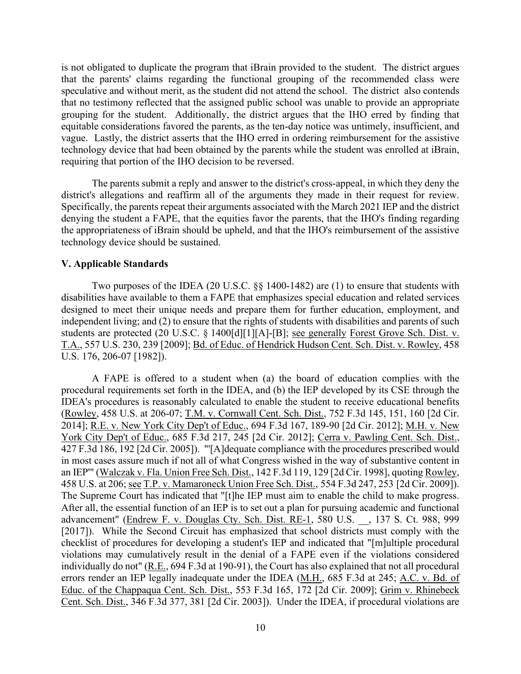is not obligated to duplicate the program that iBrain provided to the student. The district argues that the parents' claims regarding the functional grouping of the recommended class were speculative and without merit, as the student did not attend the school. The district also contends that no testimony reflected that the assigned public school was unable to provide an appropriate grouping for the student. Additionally, the district argues that the IHO erred by finding that equitable considerations favored the parents, as the ten-day notice was untimely, insufficient, and vague. Lastly, the district asserts that the IHO erred in ordering reimbursement for the assistive technology device that had been obtained by the parents while the student was enrolled at iBrain, requiring that portion of the IHO decision to be reversed.

The parents submit a reply and answer to the district's cross-appeal, in which they deny the district's allegations and reaffirm all of the arguments they made in their request for review. Specifically, the parents repeat their arguments associated with the March 2021 IEP and the district denying the student a FAPE, that the equities favor the parents, that the IHO's finding regarding the appropriateness of iBrain should be upheld, and that the IHO's reimbursement of the assistive technology device should be sustained.

#### **V. Applicable Standards**

Two purposes of the IDEA (20 U.S.C. §§ 1400-1482) are (1) to ensure that students with disabilities have available to them a FAPE that emphasizes special education and related services designed to meet their unique needs and prepare them for further education, employment, and independent living; and (2) to ensure that the rights of students with disabilities and parents of such students are protected (20 U.S.C. § 1400[d][1][A]-[B]; see generally Forest Grove Sch. Dist. v. T.A., 557 U.S. 230, 239 [2009]; Bd. of Educ. of Hendrick Hudson Cent. Sch. Dist. v. Rowley, 458 U.S. 176, 206-07 [1982]).

A FAPE is offered to a student when (a) the board of education complies with the procedural requirements set forth in the IDEA, and (b) the IEP developed by its CSE through the IDEA's procedures is reasonably calculated to enable the student to receive educational benefits (Rowley, 458 U.S. at 206-07; T.M. v. Cornwall Cent. Sch. Dist., 752 F.3d 145, 151, 160 [2d Cir. 2014]; R.E. v. New York City Dep't of Educ., 694 F.3d 167, 189-90 [2d Cir. 2012]; M.H. v. New York City Dep't of Educ., 685 F.3d 217, 245 [2d Cir. 2012]; Cerra v. Pawling Cent. Sch. Dist., 427 F.3d 186, 192 [2d Cir. 2005]). "'[A]dequate compliance with the procedures prescribed would in most cases assure much if not all of what Congress wished in the way of substantive content in an IEP'" (Walczak v. Fla. Union Free Sch. Dist., 142 F.3d 119, 129 [2d Cir. 1998], quoting Rowley, 458 U.S. at 206; see T.P. v. Mamaroneck Union Free Sch. Dist., 554 F.3d 247, 253 [2d Cir. 2009]). The Supreme Court has indicated that "[t]he IEP must aim to enable the child to make progress. After all, the essential function of an IEP is to set out a plan for pursuing academic and functional advancement" (Endrew F. v. Douglas Cty. Sch. Dist. RE-1, 580 U.S. \_\_, 137 S. Ct. 988, 999 [2017]). While the Second Circuit has emphasized that school districts must comply with the checklist of procedures for developing a student's IEP and indicated that "[m]ultiple procedural violations may cumulatively result in the denial of a FAPE even if the violations considered individually do not" (R.E., 694 F.3d at 190-91), the Court has also explained that not all procedural errors render an IEP legally inadequate under the IDEA (M.H., 685 F.3d at 245; A.C. v. Bd. of Educ. of the Chappaqua Cent. Sch. Dist., 553 F.3d 165, 172 [2d Cir. 2009]; Grim v. Rhinebeck Cent. Sch. Dist., 346 F.3d 377, 381 [2d Cir. 2003]). Under the IDEA, if procedural violations are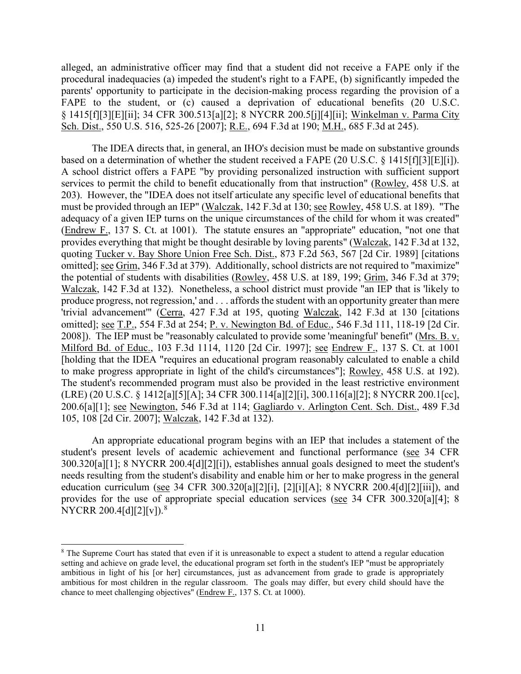alleged, an administrative officer may find that a student did not receive a FAPE only if the procedural inadequacies (a) impeded the student's right to a FAPE, (b) significantly impeded the parents' opportunity to participate in the decision-making process regarding the provision of a FAPE to the student, or (c) caused a deprivation of educational benefits (20 U.S.C. § 1415[f][3][E][ii]; 34 CFR 300.513[a][2]; 8 NYCRR 200.5[j][4][ii]; Winkelman v. Parma City Sch. Dist., 550 U.S. 516, 525-26 [2007]; R.E., 694 F.3d at 190; M.H., 685 F.3d at 245).

The IDEA directs that, in general, an IHO's decision must be made on substantive grounds based on a determination of whether the student received a FAPE (20 U.S.C. § 1415[f][3][E][i]). A school district offers a FAPE "by providing personalized instruction with sufficient support services to permit the child to benefit educationally from that instruction" (Rowley, 458 U.S. at 203). However, the "IDEA does not itself articulate any specific level of educational benefits that must be provided through an IEP" (Walczak, 142 F.3d at 130; see Rowley, 458 U.S. at 189). "The adequacy of a given IEP turns on the unique circumstances of the child for whom it was created" (Endrew F., 137 S. Ct. at 1001). The statute ensures an "appropriate" education, "not one that provides everything that might be thought desirable by loving parents" (Walczak, 142 F.3d at 132, quoting Tucker v. Bay Shore Union Free Sch. Dist., 873 F.2d 563, 567 [2d Cir. 1989] [citations omitted]; see Grim, 346 F.3d at 379). Additionally, school districts are not required to "maximize" the potential of students with disabilities (Rowley, 458 U.S. at 189, 199; Grim, 346 F.3d at 379; Walczak, 142 F.3d at 132). Nonetheless, a school district must provide "an IEP that is 'likely to produce progress, not regression,' and . . . affords the student with an opportunity greater than mere 'trivial advancement'" (Cerra, 427 F.3d at 195, quoting Walczak, 142 F.3d at 130 [citations omitted]; see T.P., 554 F.3d at 254; P. v. Newington Bd. of Educ., 546 F.3d 111, 118-19 [2d Cir. 2008]). The IEP must be "reasonably calculated to provide some 'meaningful' benefit" (Mrs. B. v. Milford Bd. of Educ., 103 F.3d 1114, 1120 [2d Cir. 1997]; see Endrew F., 137 S. Ct. at 1001 [holding that the IDEA "requires an educational program reasonably calculated to enable a child to make progress appropriate in light of the child's circumstances"]; Rowley, 458 U.S. at 192). The student's recommended program must also be provided in the least restrictive environment (LRE) (20 U.S.C. § 1412[a][5][A]; 34 CFR 300.114[a][2][i], 300.116[a][2]; 8 NYCRR 200.1[cc], 200.6[a][1]; see Newington, 546 F.3d at 114; Gagliardo v. Arlington Cent. Sch. Dist., 489 F.3d 105, 108 [2d Cir. 2007]; Walczak, 142 F.3d at 132).

An appropriate educational program begins with an IEP that includes a statement of the student's present levels of academic achievement and functional performance (see 34 CFR 300.320[a][1]; 8 NYCRR 200.4[d][2][i]), establishes annual goals designed to meet the student's needs resulting from the student's disability and enable him or her to make progress in the general education curriculum (see 34 CFR 300.320[a][2][i], [2][i][A]; 8 NYCRR 200.4[d][2][iii]), and provides for the use of appropriate special education services (see 34 CFR 300.320[a][4]; 8 NYCRR 200.4[d][2][v]).<sup>[8](#page-10-0)</sup>

<span id="page-10-0"></span><sup>&</sup>lt;sup>8</sup> The Supreme Court has stated that even if it is unreasonable to expect a student to attend a regular education setting and achieve on grade level, the educational program set forth in the student's IEP "must be appropriately ambitious in light of his [or her] circumstances, just as advancement from grade to grade is appropriately ambitious for most children in the regular classroom. The goals may differ, but every child should have the chance to meet challenging objectives" (Endrew F., 137 S. Ct. at 1000).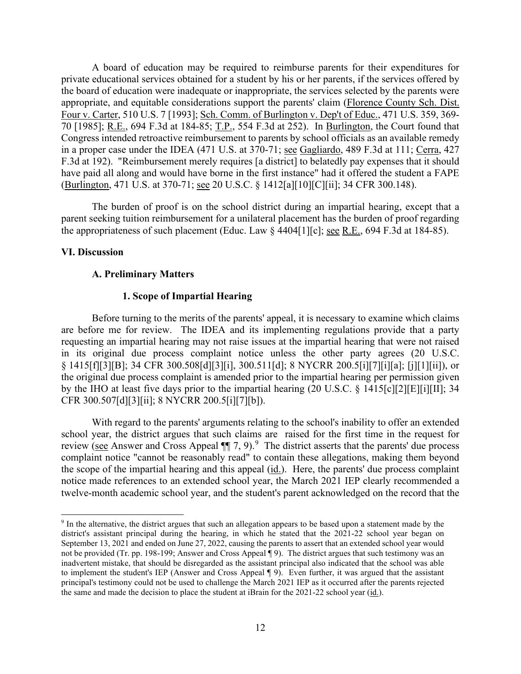A board of education may be required to reimburse parents for their expenditures for private educational services obtained for a student by his or her parents, if the services offered by the board of education were inadequate or inappropriate, the services selected by the parents were appropriate, and equitable considerations support the parents' claim (Florence County Sch. Dist. Four v. Carter, 510 U.S. 7 [1993]; Sch. Comm. of Burlington v. Dep't of Educ., 471 U.S. 359, 369- 70 [1985]; R.E., 694 F.3d at 184-85; T.P., 554 F.3d at 252). In Burlington, the Court found that Congress intended retroactive reimbursement to parents by school officials as an available remedy in a proper case under the IDEA (471 U.S. at 370-71; see Gagliardo, 489 F.3d at 111; Cerra, 427 F.3d at 192). "Reimbursement merely requires [a district] to belatedly pay expenses that it should have paid all along and would have borne in the first instance" had it offered the student a FAPE (Burlington, 471 U.S. at 370-71; see 20 U.S.C. § 1412[a][10][C][ii]; 34 CFR 300.148).

The burden of proof is on the school district during an impartial hearing, except that a parent seeking tuition reimbursement for a unilateral placement has the burden of proof regarding the appropriateness of such placement (Educ. Law  $\S$  4404[1][c]; <u>see R.E.</u>, 694 F.3d at 184-85).

#### **VI. Discussion**

#### **A. Preliminary Matters**

#### **1. Scope of Impartial Hearing**

Before turning to the merits of the parents' appeal, it is necessary to examine which claims are before me for review. The IDEA and its implementing regulations provide that a party requesting an impartial hearing may not raise issues at the impartial hearing that were not raised in its original due process complaint notice unless the other party agrees (20 U.S.C. § 1415[f][3][B]; 34 CFR 300.508[d][3][i], 300.511[d]; 8 NYCRR 200.5[i][7][i][a]; [j][1][ii]), or the original due process complaint is amended prior to the impartial hearing per permission given by the IHO at least five days prior to the impartial hearing (20 U.S.C. § 1415[c][2][E][i][II]; 34 CFR 300.507[d][3][ii]; 8 NYCRR 200.5[i][7][b]).

With regard to the parents' arguments relating to the school's inability to offer an extended school year, the district argues that such claims are raised for the first time in the request for review (see Answer and Cross Appeal  $\P$  7, [9](#page-11-0)).<sup>9</sup> The district asserts that the parents' due process complaint notice "cannot be reasonably read" to contain these allegations, making them beyond the scope of the impartial hearing and this appeal (id.). Here, the parents' due process complaint notice made references to an extended school year, the March 2021 IEP clearly recommended a twelve-month academic school year, and the student's parent acknowledged on the record that the

<span id="page-11-0"></span><sup>9</sup> In the alternative, the district argues that such an allegation appears to be based upon a statement made by the district's assistant principal during the hearing, in which he stated that the 2021-22 school year began on September 13, 2021 and ended on June 27, 2022, causing the parents to assert that an extended school year would not be provided (Tr. pp. 198-199; Answer and Cross Appeal ¶ 9). The district argues that such testimony was an inadvertent mistake, that should be disregarded as the assistant principal also indicated that the school was able to implement the student's IEP (Answer and Cross Appeal ¶ 9). Even further, it was argued that the assistant principal's testimony could not be used to challenge the March 2021 IEP as it occurred after the parents rejected the same and made the decision to place the student at iBrain for the 2021-22 school year  $(id.)$ .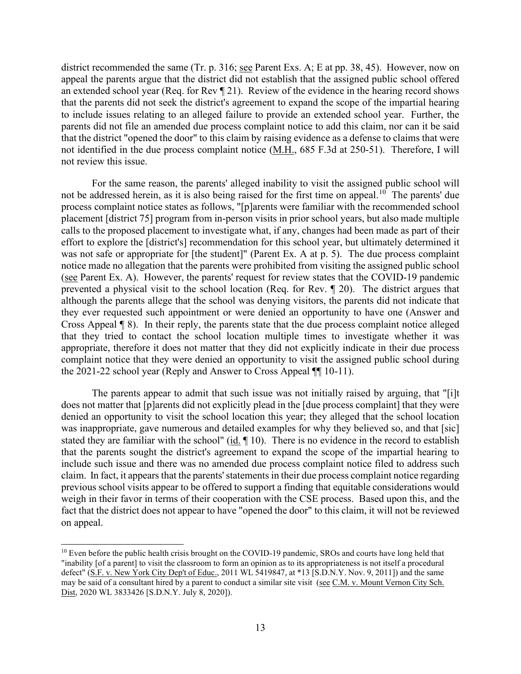district recommended the same (Tr. p. 316; see Parent Exs. A; E at pp. 38, 45). However, now on appeal the parents argue that the district did not establish that the assigned public school offered an extended school year (Req. for Rev ¶ 21). Review of the evidence in the hearing record shows that the parents did not seek the district's agreement to expand the scope of the impartial hearing to include issues relating to an alleged failure to provide an extended school year. Further, the parents did not file an amended due process complaint notice to add this claim, nor can it be said that the district "opened the door" to this claim by raising evidence as a defense to claims that were not identified in the due process complaint notice (M.H., 685 F.3d at 250-51). Therefore, I will not review this issue.

For the same reason, the parents' alleged inability to visit the assigned public school will not be addressed herein, as it is also being raised for the first time on appeal.<sup>[10](#page-12-0)</sup> The parents' due process complaint notice states as follows, "[p]arents were familiar with the recommended school placement [district 75] program from in-person visits in prior school years, but also made multiple calls to the proposed placement to investigate what, if any, changes had been made as part of their effort to explore the [district's] recommendation for this school year, but ultimately determined it was not safe or appropriate for [the student]" (Parent Ex. A at p. 5). The due process complaint notice made no allegation that the parents were prohibited from visiting the assigned public school (see Parent Ex. A). However, the parents' request for review states that the COVID-19 pandemic prevented a physical visit to the school location (Req. for Rev. ¶ 20). The district argues that although the parents allege that the school was denying visitors, the parents did not indicate that they ever requested such appointment or were denied an opportunity to have one (Answer and Cross Appeal ¶ 8). In their reply, the parents state that the due process complaint notice alleged that they tried to contact the school location multiple times to investigate whether it was appropriate, therefore it does not matter that they did not explicitly indicate in their due process complaint notice that they were denied an opportunity to visit the assigned public school during the 2021-22 school year (Reply and Answer to Cross Appeal ¶¶ 10-11).

The parents appear to admit that such issue was not initially raised by arguing, that "[i]t does not matter that [p]arents did not explicitly plead in the [due process complaint] that they were denied an opportunity to visit the school location this year; they alleged that the school location was inappropriate, gave numerous and detailed examples for why they believed so, and that [sic] stated they are familiar with the school" (id.  $\P$  10). There is no evidence in the record to establish that the parents sought the district's agreement to expand the scope of the impartial hearing to include such issue and there was no amended due process complaint notice filed to address such claim. In fact, it appears that the parents' statements in their due process complaint notice regarding previous school visits appear to be offered to support a finding that equitable considerations would weigh in their favor in terms of their cooperation with the CSE process. Based upon this, and the fact that the district does not appear to have "opened the door" to this claim, it will not be reviewed on appeal.

<span id="page-12-0"></span><sup>&</sup>lt;sup>10</sup> Even before the public health crisis brought on the COVID-19 pandemic, SROs and courts have long held that "inability [of a parent] to visit the classroom to form an opinion as to its appropriateness is not itself a procedural defect" (S.F. v. New York City Dep't of Educ., 2011 WL 5419847, at \*13 [S.D.N.Y. Nov. 9, 2011]) and the same may be said of a consultant hired by a parent to conduct a similar site visit (see C.M. v. Mount Vernon City Sch. Dist, 2020 WL 3833426 [S.D.N.Y. July 8, 2020]).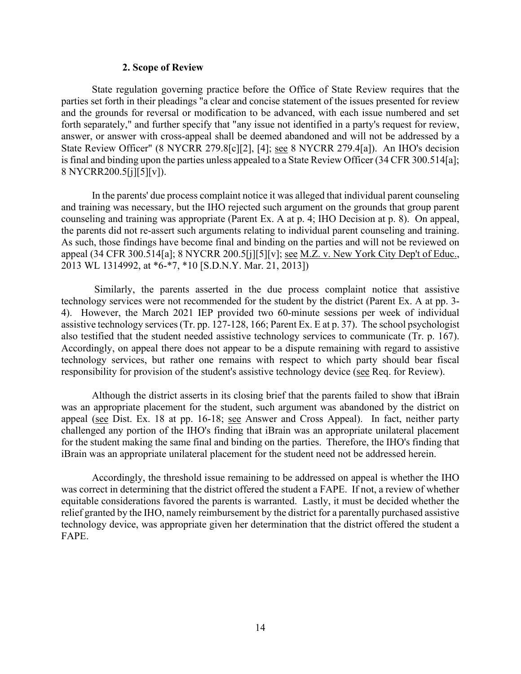#### **2. Scope of Review**

State regulation governing practice before the Office of State Review requires that the parties set forth in their pleadings "a clear and concise statement of the issues presented for review and the grounds for reversal or modification to be advanced, with each issue numbered and set forth separately," and further specify that "any issue not identified in a party's request for review, answer, or answer with cross-appeal shall be deemed abandoned and will not be addressed by a State Review Officer" (8 NYCRR 279.8[c][2], [4]; see 8 NYCRR 279.4[a]). An IHO's decision is final and binding upon the parties unless appealed to a State Review Officer (34 CFR 300.514[a]; 8 NYCRR200.5[j][5][v]).

In the parents' due process complaint notice it was alleged that individual parent counseling and training was necessary, but the IHO rejected such argument on the grounds that group parent counseling and training was appropriate (Parent Ex. A at p. 4; IHO Decision at p. 8). On appeal, the parents did not re-assert such arguments relating to individual parent counseling and training. As such, those findings have become final and binding on the parties and will not be reviewed on appeal (34 CFR 300.514[a]; 8 NYCRR 200.5[j][5][v]; see M.Z. v. New York City Dep't of Educ., 2013 WL 1314992, at \*6-\*7, \*10 [S.D.N.Y. Mar. 21, 2013])

Similarly, the parents asserted in the due process complaint notice that assistive technology services were not recommended for the student by the district (Parent Ex. A at pp. 3- 4). However, the March 2021 IEP provided two 60-minute sessions per week of individual assistive technology services(Tr. pp. 127-128, 166; Parent Ex. E at p. 37). The school psychologist also testified that the student needed assistive technology services to communicate (Tr. p. 167). Accordingly, on appeal there does not appear to be a dispute remaining with regard to assistive technology services, but rather one remains with respect to which party should bear fiscal responsibility for provision of the student's assistive technology device (see Req. for Review).

Although the district asserts in its closing brief that the parents failed to show that iBrain was an appropriate placement for the student, such argument was abandoned by the district on appeal (see Dist. Ex. 18 at pp. 16-18; see Answer and Cross Appeal). In fact, neither party challenged any portion of the IHO's finding that iBrain was an appropriate unilateral placement for the student making the same final and binding on the parties. Therefore, the IHO's finding that iBrain was an appropriate unilateral placement for the student need not be addressed herein.

Accordingly, the threshold issue remaining to be addressed on appeal is whether the IHO was correct in determining that the district offered the student a FAPE. If not, a review of whether equitable considerations favored the parents is warranted. Lastly, it must be decided whether the relief granted by the IHO, namely reimbursement by the district for a parentally purchased assistive technology device, was appropriate given her determination that the district offered the student a FAPE.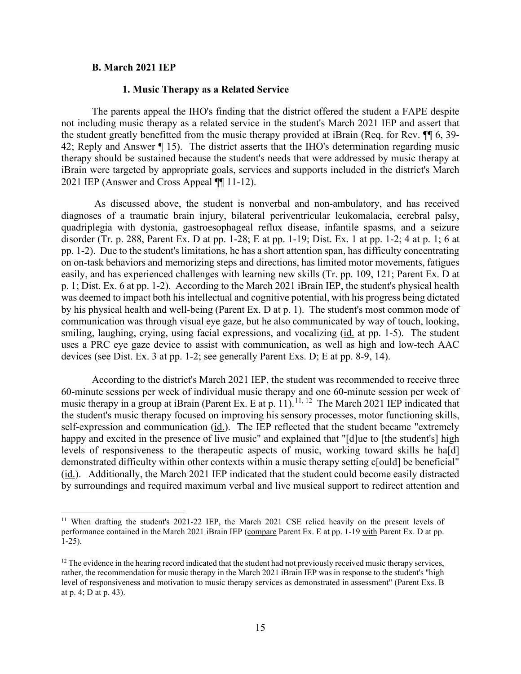#### **B. March 2021 IEP**

#### **1. Music Therapy as a Related Service**

The parents appeal the IHO's finding that the district offered the student a FAPE despite not including music therapy as a related service in the student's March 2021 IEP and assert that the student greatly benefitted from the music therapy provided at iBrain (Req. for Rev. ¶¶ 6, 39- 42; Reply and Answer ¶ 15). The district asserts that the IHO's determination regarding music therapy should be sustained because the student's needs that were addressed by music therapy at iBrain were targeted by appropriate goals, services and supports included in the district's March 2021 IEP (Answer and Cross Appeal ¶¶ 11-12).

As discussed above, the student is nonverbal and non-ambulatory, and has received diagnoses of a traumatic brain injury, bilateral periventricular leukomalacia, cerebral palsy, quadriplegia with dystonia, gastroesophageal reflux disease, infantile spasms, and a seizure disorder (Tr. p. 288, Parent Ex. D at pp. 1-28; E at pp. 1-19; Dist. Ex. 1 at pp. 1-2; 4 at p. 1; 6 at pp. 1-2). Due to the student's limitations, he has a short attention span, has difficulty concentrating on on-task behaviors and memorizing steps and directions, has limited motor movements, fatigues easily, and has experienced challenges with learning new skills (Tr. pp. 109, 121; Parent Ex. D at p. 1; Dist. Ex. 6 at pp. 1-2). According to the March 2021 iBrain IEP, the student's physical health was deemed to impact both his intellectual and cognitive potential, with his progress being dictated by his physical health and well-being (Parent Ex. D at p. 1). The student's most common mode of communication was through visual eye gaze, but he also communicated by way of touch, looking, smiling, laughing, crying, using facial expressions, and vocalizing (id. at pp. 1-5). The student uses a PRC eye gaze device to assist with communication, as well as high and low-tech AAC devices (see Dist. Ex. 3 at pp. 1-2; see generally Parent Exs. D; E at pp. 8-9, 14).

According to the district's March 2021 IEP, the student was recommended to receive three 60-minute sessions per week of individual music therapy and one 60-minute session per week of music therapy in a group at iBrain (Parent Ex. E at p. 11).<sup>[11,](#page-14-0) [12](#page-14-1)</sup> The March 2021 IEP indicated that the student's music therapy focused on improving his sensory processes, motor functioning skills, self-expression and communication (id.). The IEP reflected that the student became "extremely happy and excited in the presence of live music" and explained that "[d]ue to [the student's] high levels of responsiveness to the therapeutic aspects of music, working toward skills he ha[d] demonstrated difficulty within other contexts within a music therapy setting c[ould] be beneficial" (id.). Additionally, the March 2021 IEP indicated that the student could become easily distracted by surroundings and required maximum verbal and live musical support to redirect attention and

<span id="page-14-0"></span><sup>&</sup>lt;sup>11</sup> When drafting the student's 2021-22 IEP, the March 2021 CSE relied heavily on the present levels of performance contained in the March 2021 iBrain IEP (compare Parent Ex. E at pp. 1-19 with Parent Ex. D at pp. 1-25).

<span id="page-14-1"></span> $12$  The evidence in the hearing record indicated that the student had not previously received music therapy services, rather, the recommendation for music therapy in the March 2021 iBrain IEP was in response to the student's "high level of responsiveness and motivation to music therapy services as demonstrated in assessment" (Parent Exs. B at p. 4; D at p. 43).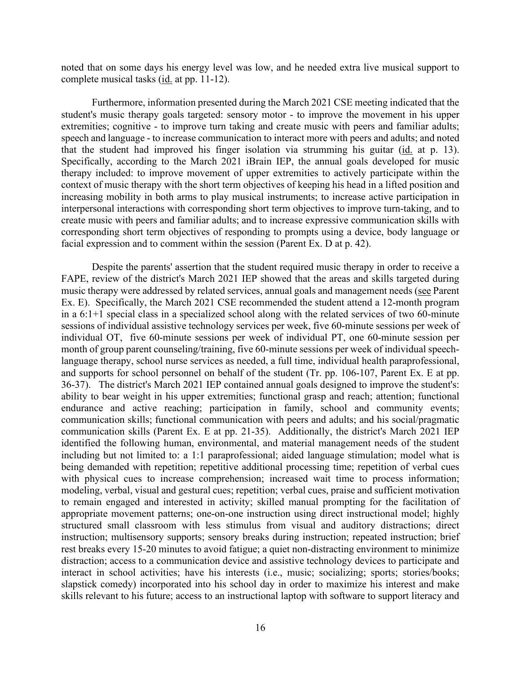noted that on some days his energy level was low, and he needed extra live musical support to complete musical tasks (id. at pp. 11-12).

Furthermore, information presented during the March 2021 CSE meeting indicated that the student's music therapy goals targeted: sensory motor - to improve the movement in his upper extremities; cognitive - to improve turn taking and create music with peers and familiar adults; speech and language - to increase communication to interact more with peers and adults; and noted that the student had improved his finger isolation via strumming his guitar (id. at p. 13). Specifically, according to the March 2021 iBrain IEP, the annual goals developed for music therapy included: to improve movement of upper extremities to actively participate within the context of music therapy with the short term objectives of keeping his head in a lifted position and increasing mobility in both arms to play musical instruments; to increase active participation in interpersonal interactions with corresponding short term objectives to improve turn-taking, and to create music with peers and familiar adults; and to increase expressive communication skills with corresponding short term objectives of responding to prompts using a device, body language or facial expression and to comment within the session (Parent Ex. D at p. 42).

Despite the parents' assertion that the student required music therapy in order to receive a FAPE, review of the district's March 2021 IEP showed that the areas and skills targeted during music therapy were addressed by related services, annual goals and management needs (see Parent Ex. E). Specifically, the March 2021 CSE recommended the student attend a 12-month program in a 6:1+1 special class in a specialized school along with the related services of two 60-minute sessions of individual assistive technology services per week, five 60-minute sessions per week of individual OT, five 60-minute sessions per week of individual PT, one 60-minute session per month of group parent counseling/training, five 60-minute sessions per week of individual speechlanguage therapy, school nurse services as needed, a full time, individual health paraprofessional, and supports for school personnel on behalf of the student (Tr. pp. 106-107, Parent Ex. E at pp. 36-37). The district's March 2021 IEP contained annual goals designed to improve the student's: ability to bear weight in his upper extremities; functional grasp and reach; attention; functional endurance and active reaching; participation in family, school and community events; communication skills; functional communication with peers and adults; and his social/pragmatic communication skills (Parent Ex. E at pp. 21-35). Additionally, the district's March 2021 IEP identified the following human, environmental, and material management needs of the student including but not limited to: a 1:1 paraprofessional; aided language stimulation; model what is being demanded with repetition; repetitive additional processing time; repetition of verbal cues with physical cues to increase comprehension; increased wait time to process information; modeling, verbal, visual and gestural cues; repetition; verbal cues, praise and sufficient motivation to remain engaged and interested in activity; skilled manual prompting for the facilitation of appropriate movement patterns; one-on-one instruction using direct instructional model; highly structured small classroom with less stimulus from visual and auditory distractions; direct instruction; multisensory supports; sensory breaks during instruction; repeated instruction; brief rest breaks every 15-20 minutes to avoid fatigue; a quiet non-distracting environment to minimize distraction; access to a communication device and assistive technology devices to participate and interact in school activities; have his interests (i.e., music; socializing; sports; stories/books; slapstick comedy) incorporated into his school day in order to maximize his interest and make skills relevant to his future; access to an instructional laptop with software to support literacy and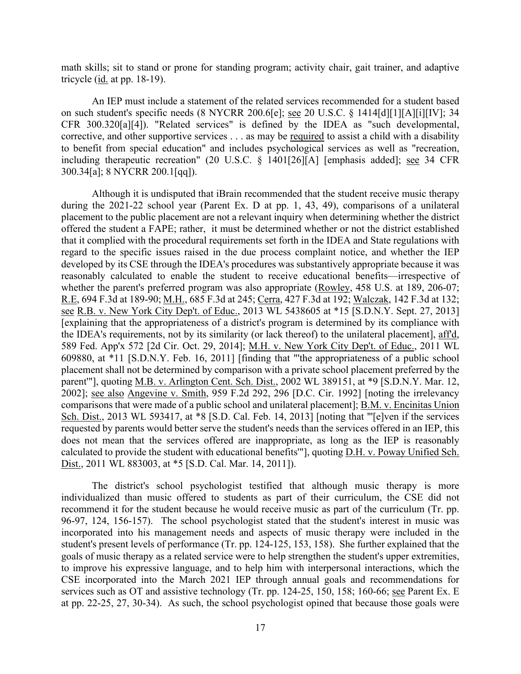math skills; sit to stand or prone for standing program; activity chair, gait trainer, and adaptive tricycle (id. at pp. 18-19).

An IEP must include a statement of the related services recommended for a student based on such student's specific needs (8 NYCRR 200.6[e]; see 20 U.S.C. § 1414[d][1][A][i][IV]; 34 CFR 300.320[a][4]). "Related services" is defined by the IDEA as "such developmental, corrective, and other supportive services . . . as may be required to assist a child with a disability to benefit from special education" and includes psychological services as well as "recreation, including therapeutic recreation" (20 U.S.C. § 1401[26][A] [emphasis added]; see 34 CFR 300.34[a]; 8 NYCRR 200.1[qq]).

Although it is undisputed that iBrain recommended that the student receive music therapy during the 2021-22 school year (Parent Ex. D at pp. 1, 43, 49), comparisons of a unilateral placement to the public placement are not a relevant inquiry when determining whether the district offered the student a FAPE; rather, it must be determined whether or not the district established that it complied with the procedural requirements set forth in the IDEA and State regulations with regard to the specific issues raised in the due process complaint notice, and whether the IEP developed by its CSE through the IDEA's procedures was substantively appropriate because it was reasonably calculated to enable the student to receive educational benefits—irrespective of whether the parent's preferred program was also appropriate (Rowley, 458 U.S. at 189, 206-07; R.E, 694 F.3d at 189-90; M.H., 685 F.3d at 245; Cerra, 427 F.3d at 192; Walczak, 142 F.3d at 132; see R.B. v. New York City Dep't. of Educ., 2013 WL 5438605 at \*15 [S.D.N.Y. Sept. 27, 2013] [explaining that the appropriateness of a district's program is determined by its compliance with the IDEA's requirements, not by its similarity (or lack thereof) to the unilateral placement], aff'd, 589 Fed. App'x 572 [2d Cir. Oct. 29, 2014]; M.H. v. New York City Dep't. of Educ., 2011 WL 609880, at \*11 [S.D.N.Y. Feb. 16, 2011] [finding that "'the appropriateness of a public school placement shall not be determined by comparison with a private school placement preferred by the parent'"], quoting M.B. v. Arlington Cent. Sch. Dist., 2002 WL 389151, at \*9 [S.D.N.Y. Mar. 12, 2002]; see also Angevine v. Smith, 959 F.2d 292, 296 [D.C. Cir. 1992] [noting the irrelevancy comparisons that were made of a public school and unilateral placement]; B.M. v. Encinitas Union Sch. Dist., 2013 WL 593417, at \*8 [S.D. Cal. Feb. 14, 2013] [noting that "'[e]ven if the services requested by parents would better serve the student's needs than the services offered in an IEP, this does not mean that the services offered are inappropriate, as long as the IEP is reasonably calculated to provide the student with educational benefits'"], quoting D.H. v. Poway Unified Sch. Dist., 2011 WL 883003, at \*5 [S.D. Cal. Mar. 14, 2011]).

The district's school psychologist testified that although music therapy is more individualized than music offered to students as part of their curriculum, the CSE did not recommend it for the student because he would receive music as part of the curriculum (Tr. pp. 96-97, 124, 156-157). The school psychologist stated that the student's interest in music was incorporated into his management needs and aspects of music therapy were included in the student's present levels of performance (Tr. pp. 124-125, 153, 158). She further explained that the goals of music therapy as a related service were to help strengthen the student's upper extremities, to improve his expressive language, and to help him with interpersonal interactions, which the CSE incorporated into the March 2021 IEP through annual goals and recommendations for services such as OT and assistive technology (Tr. pp. 124-25, 150, 158; 160-66; see Parent Ex. E at pp. 22-25, 27, 30-34). As such, the school psychologist opined that because those goals were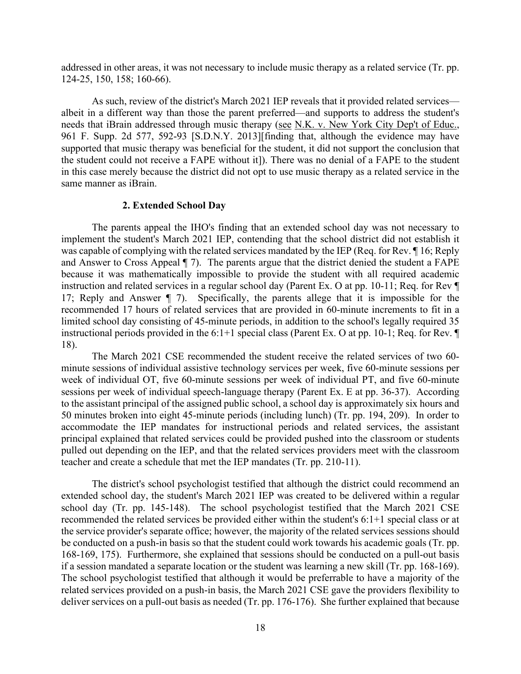addressed in other areas, it was not necessary to include music therapy as a related service (Tr. pp. 124-25, 150, 158; 160-66).

As such, review of the district's March 2021 IEP reveals that it provided related services albeit in a different way than those the parent preferred—and supports to address the student's needs that iBrain addressed through music therapy (see N.K. v. New York City Dep't of Educ., 961 F. Supp. 2d 577, 592-93 [S.D.N.Y. 2013][finding that, although the evidence may have supported that music therapy was beneficial for the student, it did not support the conclusion that the student could not receive a FAPE without it]). There was no denial of a FAPE to the student in this case merely because the district did not opt to use music therapy as a related service in the same manner as iBrain.

#### **2. Extended School Day**

The parents appeal the IHO's finding that an extended school day was not necessary to implement the student's March 2021 IEP, contending that the school district did not establish it was capable of complying with the related services mandated by the IEP (Req. for Rev. ¶ 16; Reply and Answer to Cross Appeal ¶ 7). The parents argue that the district denied the student a FAPE because it was mathematically impossible to provide the student with all required academic instruction and related services in a regular school day (Parent Ex. O at pp. 10-11; Req. for Rev ¶ 17; Reply and Answer ¶ 7). Specifically, the parents allege that it is impossible for the recommended 17 hours of related services that are provided in 60-minute increments to fit in a limited school day consisting of 45-minute periods, in addition to the school's legally required 35 instructional periods provided in the  $6:1+1$  special class (Parent Ex. O at pp. 10-1; Req. for Rev.  $\P$ 18).

The March 2021 CSE recommended the student receive the related services of two 60 minute sessions of individual assistive technology services per week, five 60-minute sessions per week of individual OT, five 60-minute sessions per week of individual PT, and five 60-minute sessions per week of individual speech-language therapy (Parent Ex. E at pp. 36-37). According to the assistant principal of the assigned public school, a school day is approximately six hours and 50 minutes broken into eight 45-minute periods (including lunch) (Tr. pp. 194, 209). In order to accommodate the IEP mandates for instructional periods and related services, the assistant principal explained that related services could be provided pushed into the classroom or students pulled out depending on the IEP, and that the related services providers meet with the classroom teacher and create a schedule that met the IEP mandates (Tr. pp. 210-11).

The district's school psychologist testified that although the district could recommend an extended school day, the student's March 2021 IEP was created to be delivered within a regular school day (Tr. pp. 145-148). The school psychologist testified that the March 2021 CSE recommended the related services be provided either within the student's 6:1+1 special class or at the service provider's separate office; however, the majority of the related services sessions should be conducted on a push-in basis so that the student could work towards his academic goals (Tr. pp. 168-169, 175). Furthermore, she explained that sessions should be conducted on a pull-out basis if a session mandated a separate location or the student was learning a new skill (Tr. pp. 168-169). The school psychologist testified that although it would be preferrable to have a majority of the related services provided on a push-in basis, the March 2021 CSE gave the providers flexibility to deliver services on a pull-out basis as needed (Tr. pp. 176-176). She further explained that because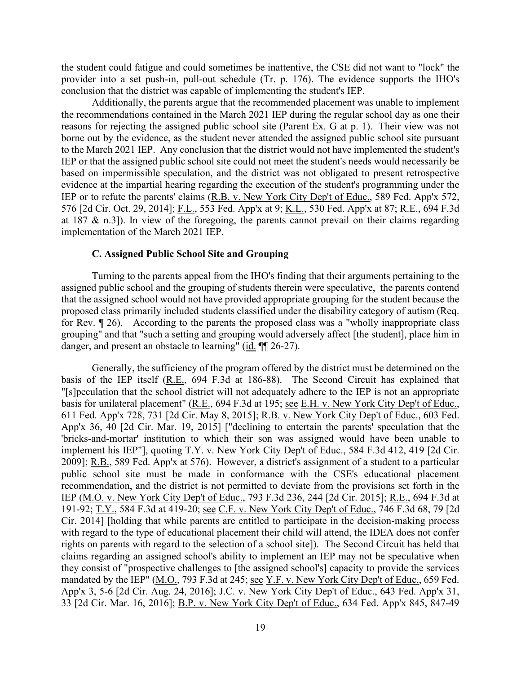the student could fatigue and could sometimes be inattentive, the CSE did not want to "lock" the provider into a set push-in, pull-out schedule (Tr. p. 176). The evidence supports the IHO's conclusion that the district was capable of implementing the student's IEP.

Additionally, the parents argue that the recommended placement was unable to implement the recommendations contained in the March 2021 IEP during the regular school day as one their reasons for rejecting the assigned public school site (Parent Ex. G at p. 1). Their view was not borne out by the evidence, as the student never attended the assigned public school site pursuant to the March 2021 IEP. Any conclusion that the district would not have implemented the student's IEP or that the assigned public school site could not meet the student's needs would necessarily be based on impermissible speculation, and the district was not obligated to present retrospective evidence at the impartial hearing regarding the execution of the student's programming under the IEP or to refute the parents' claims (R.B. v. New York City Dep't of Educ., 589 Fed. App'x 572, 576 [2d Cir. Oct. 29, 2014]; F.L., 553 Fed. App'x at 9; K.L., 530 Fed. App'x at 87; R.E., 694 F.3d at 187 & n.3]). In view of the foregoing, the parents cannot prevail on their claims regarding implementation of the March 2021 IEP.

#### **C. Assigned Public School Site and Grouping**

Turning to the parents appeal from the IHO's finding that their arguments pertaining to the assigned public school and the grouping of students therein were speculative, the parents contend that the assigned school would not have provided appropriate grouping for the student because the proposed class primarily included students classified under the disability category of autism (Req. for Rev. ¶ 26). According to the parents the proposed class was a "wholly inappropriate class grouping" and that "such a setting and grouping would adversely affect [the student], place him in danger, and present an obstacle to learning" (id.  $\P$ [26-27).

Generally, the sufficiency of the program offered by the district must be determined on the basis of the IEP itself (R.E., 694 F.3d at 186-88). The Second Circuit has explained that "[s]peculation that the school district will not adequately adhere to the IEP is not an appropriate basis for unilateral placement" (R.E., 694 F.3d at 195; see E.H. v. New York City Dep't of Educ., 611 Fed. App'x 728, 731 [2d Cir. May 8, 2015]; R.B. v. New York City Dep't of Educ., 603 Fed. App'x 36, 40 [2d Cir. Mar. 19, 2015] ["declining to entertain the parents' speculation that the 'bricks-and-mortar' institution to which their son was assigned would have been unable to implement his IEP"], quoting T.Y. v. New York City Dep't of Educ., 584 F.3d 412, 419 [2d Cir. 2009]; R.B., 589 Fed. App'x at 576). However, a district's assignment of a student to a particular public school site must be made in conformance with the CSE's educational placement recommendation, and the district is not permitted to deviate from the provisions set forth in the IEP (M.O. v. New York City Dep't of Educ., 793 F.3d 236, 244 [2d Cir. 2015]; R.E., 694 F.3d at 191-92; T.Y., 584 F.3d at 419-20; see C.F. v. New York City Dep't of Educ., 746 F.3d 68, 79 [2d Cir. 2014] [holding that while parents are entitled to participate in the decision-making process with regard to the type of educational placement their child will attend, the IDEA does not confer rights on parents with regard to the selection of a school site]). The Second Circuit has held that claims regarding an assigned school's ability to implement an IEP may not be speculative when they consist of "prospective challenges to [the assigned school's] capacity to provide the services mandated by the IEP" (M.O., 793 F.3d at 245; see Y.F. v. New York City Dep't of Educ., 659 Fed. App'x 3, 5-6 [2d Cir. Aug. 24, 2016]; J.C. v. New York City Dep't of Educ., 643 Fed. App'x 31, 33 [2d Cir. Mar. 16, 2016]; B.P. v. New York City Dep't of Educ., 634 Fed. App'x 845, 847-49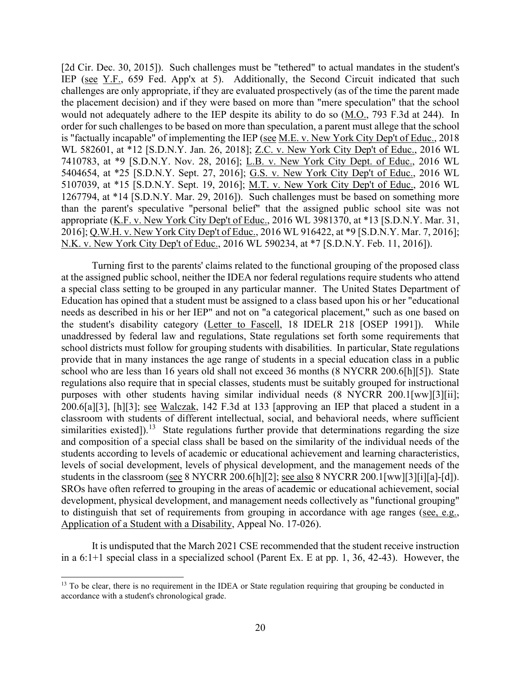[2d Cir. Dec. 30, 2015]). Such challenges must be "tethered" to actual mandates in the student's IEP (see Y.F., 659 Fed. App'x at 5). Additionally, the Second Circuit indicated that such challenges are only appropriate, if they are evaluated prospectively (as of the time the parent made the placement decision) and if they were based on more than "mere speculation" that the school would not adequately adhere to the IEP despite its ability to do so (M.O., 793 F.3d at 244). In order for such challenges to be based on more than speculation, a parent must allege that the school is "factually incapable" of implementing the IEP (see M.E. v. New York City Dep't of Educ., 2018 WL 582601, at \*12 [S.D.N.Y. Jan. 26, 2018]; Z.C. v. New York City Dep't of Educ., 2016 WL 7410783, at \*9 [S.D.N.Y. Nov. 28, 2016]; L.B. v. New York City Dept. of Educ., 2016 WL 5404654, at \*25 [S.D.N.Y. Sept. 27, 2016]; G.S. v. New York City Dep't of Educ., 2016 WL 5107039, at \*15 [S.D.N.Y. Sept. 19, 2016]; M.T. v. New York City Dep't of Educ., 2016 WL 1267794, at \*14 [S.D.N.Y. Mar. 29, 2016]). Such challenges must be based on something more than the parent's speculative "personal belief" that the assigned public school site was not appropriate (K.F. v. New York City Dep't of Educ., 2016 WL 3981370, at \*13 [S.D.N.Y. Mar. 31, 2016]; Q.W.H. v. New York City Dep't of Educ., 2016 WL 916422, at \*9 [S.D.N.Y. Mar. 7, 2016]; N.K. v. New York City Dep't of Educ., 2016 WL 590234, at \*7 [S.D.N.Y. Feb. 11, 2016]).

Turning first to the parents' claims related to the functional grouping of the proposed class at the assigned public school, neither the IDEA nor federal regulations require students who attend a special class setting to be grouped in any particular manner. The United States Department of Education has opined that a student must be assigned to a class based upon his or her "educational needs as described in his or her IEP" and not on "a categorical placement," such as one based on the student's disability category (Letter to Fascell, 18 IDELR 218 [OSEP 1991]). While unaddressed by federal law and regulations, State regulations set forth some requirements that school districts must follow for grouping students with disabilities. In particular, State regulations provide that in many instances the age range of students in a special education class in a public school who are less than 16 years old shall not exceed 36 months (8 NYCRR 200.6[h][5]). State regulations also require that in special classes, students must be suitably grouped for instructional purposes with other students having similar individual needs (8 NYCRR 200.1[ww][3][ii]; 200.6[a][3], [h][3]; see Walczak, 142 F.3d at 133 [approving an IEP that placed a student in a classroom with students of different intellectual, social, and behavioral needs, where sufficient similarities existed]).<sup>[13](#page-19-0)</sup> State regulations further provide that determinations regarding the size and composition of a special class shall be based on the similarity of the individual needs of the students according to levels of academic or educational achievement and learning characteristics, levels of social development, levels of physical development, and the management needs of the students in the classroom (see 8 NYCRR 200.6[h][2]; see also 8 NYCRR 200.1[ww][3][i][a]-[d]). SROs have often referred to grouping in the areas of academic or educational achievement, social development, physical development, and management needs collectively as "functional grouping" to distinguish that set of requirements from grouping in accordance with age ranges (see, e.g., Application of a Student with a Disability, Appeal No. 17-026).

It is undisputed that the March 2021 CSE recommended that the student receive instruction in a 6:1+1 special class in a specialized school (Parent Ex. E at pp. 1, 36, 42-43). However, the

<span id="page-19-0"></span><sup>&</sup>lt;sup>13</sup> To be clear, there is no requirement in the IDEA or State regulation requiring that grouping be conducted in accordance with a student's chronological grade.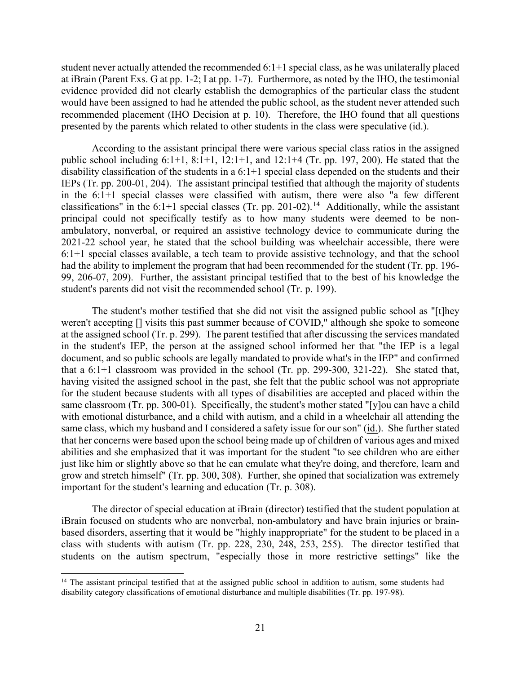student never actually attended the recommended 6:1+1 special class, as he was unilaterally placed at iBrain (Parent Exs. G at pp. 1-2; I at pp. 1-7). Furthermore, as noted by the IHO, the testimonial evidence provided did not clearly establish the demographics of the particular class the student would have been assigned to had he attended the public school, as the student never attended such recommended placement (IHO Decision at p. 10). Therefore, the IHO found that all questions presented by the parents which related to other students in the class were speculative (id.).

According to the assistant principal there were various special class ratios in the assigned public school including 6:1+1, 8:1+1, 12:1+1, and 12:1+4 (Tr. pp. 197, 200). He stated that the disability classification of the students in a 6:1+1 special class depended on the students and their IEPs (Tr. pp. 200-01, 204). The assistant principal testified that although the majority of students in the 6:1+1 special classes were classified with autism, there were also "a few different classifications" in the 6:1+1 special classes (Tr. pp. 201-02).<sup>[14](#page-20-0)</sup> Additionally, while the assistant principal could not specifically testify as to how many students were deemed to be nonambulatory, nonverbal, or required an assistive technology device to communicate during the 2021-22 school year, he stated that the school building was wheelchair accessible, there were 6:1+1 special classes available, a tech team to provide assistive technology, and that the school had the ability to implement the program that had been recommended for the student (Tr. pp. 196- 99, 206-07, 209). Further, the assistant principal testified that to the best of his knowledge the student's parents did not visit the recommended school (Tr. p. 199).

The student's mother testified that she did not visit the assigned public school as "[t]hey weren't accepting [] visits this past summer because of COVID," although she spoke to someone at the assigned school (Tr. p. 299). The parent testified that after discussing the services mandated in the student's IEP, the person at the assigned school informed her that "the IEP is a legal document, and so public schools are legally mandated to provide what's in the IEP" and confirmed that a 6:1+1 classroom was provided in the school (Tr. pp. 299-300, 321-22). She stated that, having visited the assigned school in the past, she felt that the public school was not appropriate for the student because students with all types of disabilities are accepted and placed within the same classroom (Tr. pp. 300-01). Specifically, the student's mother stated "[y]ou can have a child with emotional disturbance, and a child with autism, and a child in a wheelchair all attending the same class, which my husband and I considered a safety issue for our son" (id.). She further stated that her concerns were based upon the school being made up of children of various ages and mixed abilities and she emphasized that it was important for the student "to see children who are either just like him or slightly above so that he can emulate what they're doing, and therefore, learn and grow and stretch himself" (Tr. pp. 300, 308). Further, she opined that socialization was extremely important for the student's learning and education (Tr. p. 308).

The director of special education at iBrain (director) testified that the student population at iBrain focused on students who are nonverbal, non-ambulatory and have brain injuries or brainbased disorders, asserting that it would be "highly inappropriate" for the student to be placed in a class with students with autism (Tr. pp. 228, 230, 248, 253, 255). The director testified that students on the autism spectrum, "especially those in more restrictive settings" like the

<span id="page-20-0"></span><sup>&</sup>lt;sup>14</sup> The assistant principal testified that at the assigned public school in addition to autism, some students had disability category classifications of emotional disturbance and multiple disabilities (Tr. pp. 197-98).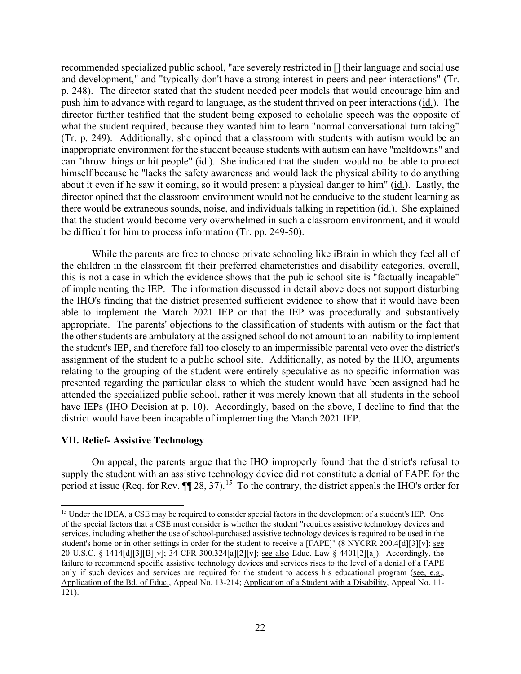recommended specialized public school, "are severely restricted in [] their language and social use and development," and "typically don't have a strong interest in peers and peer interactions" (Tr. p. 248). The director stated that the student needed peer models that would encourage him and push him to advance with regard to language, as the student thrived on peer interactions (id.). The director further testified that the student being exposed to echolalic speech was the opposite of what the student required, because they wanted him to learn "normal conversational turn taking" (Tr. p. 249). Additionally, she opined that a classroom with students with autism would be an inappropriate environment for the student because students with autism can have "meltdowns" and can "throw things or hit people" (id.). She indicated that the student would not be able to protect himself because he "lacks the safety awareness and would lack the physical ability to do anything about it even if he saw it coming, so it would present a physical danger to him" (id.). Lastly, the director opined that the classroom environment would not be conducive to the student learning as there would be extraneous sounds, noise, and individuals talking in repetition (id.). She explained that the student would become very overwhelmed in such a classroom environment, and it would be difficult for him to process information (Tr. pp. 249-50).

While the parents are free to choose private schooling like iBrain in which they feel all of the children in the classroom fit their preferred characteristics and disability categories, overall, this is not a case in which the evidence shows that the public school site is "factually incapable" of implementing the IEP. The information discussed in detail above does not support disturbing the IHO's finding that the district presented sufficient evidence to show that it would have been able to implement the March 2021 IEP or that the IEP was procedurally and substantively appropriate. The parents' objections to the classification of students with autism or the fact that the other students are ambulatory at the assigned school do not amount to an inability to implement the student's IEP, and therefore fall too closely to an impermissible parental veto over the district's assignment of the student to a public school site. Additionally, as noted by the IHO, arguments relating to the grouping of the student were entirely speculative as no specific information was presented regarding the particular class to which the student would have been assigned had he attended the specialized public school, rather it was merely known that all students in the school have IEPs (IHO Decision at p. 10). Accordingly, based on the above, I decline to find that the district would have been incapable of implementing the March 2021 IEP.

#### **VII. Relief- Assistive Technology**

On appeal, the parents argue that the IHO improperly found that the district's refusal to supply the student with an assistive technology device did not constitute a denial of FAPE for the period at issue (Req. for Rev.  $\P$ ] 28, 37).<sup>[15](#page-21-0)</sup> To the contrary, the district appeals the IHO's order for

<span id="page-21-0"></span><sup>&</sup>lt;sup>15</sup> Under the IDEA, a CSE may be required to consider special factors in the development of a student's IEP. One of the special factors that a CSE must consider is whether the student "requires assistive technology devices and services, including whether the use of school-purchased assistive technology devices is required to be used in the student's home or in other settings in order for the student to receive a [FAPE]" (8 NYCRR 200.4[d][3][v]; see 20 U.S.C. § 1414[d][3][B][v]; 34 CFR 300.324[a][2][v]; see also Educ. Law § 4401[2][a]). Accordingly, the failure to recommend specific assistive technology devices and services rises to the level of a denial of a FAPE only if such devices and services are required for the student to access his educational program (see, e.g., Application of the Bd. of Educ., Appeal No. 13-214; Application of a Student with a Disability, Appeal No. 11- 121).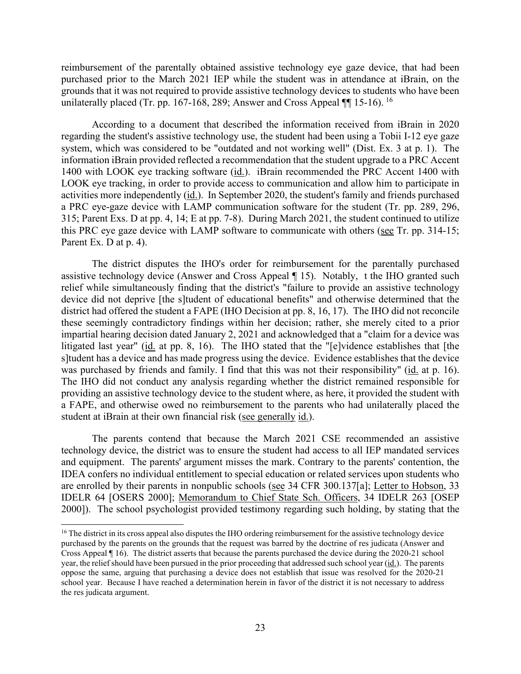reimbursement of the parentally obtained assistive technology eye gaze device, that had been purchased prior to the March 2021 IEP while the student was in attendance at iBrain, on the grounds that it was not required to provide assistive technology devices to students who have been unilaterally placed (Tr. pp. [16](#page-22-0)7-168, 289; Answer and Cross Appeal  $\P$  15-16). <sup>16</sup>

According to a document that described the information received from iBrain in 2020 regarding the student's assistive technology use, the student had been using a Tobii I-12 eye gaze system, which was considered to be "outdated and not working well" (Dist. Ex. 3 at p. 1). The information iBrain provided reflected a recommendation that the student upgrade to a PRC Accent 1400 with LOOK eye tracking software (id.). iBrain recommended the PRC Accent 1400 with LOOK eye tracking, in order to provide access to communication and allow him to participate in activities more independently (id.). In September 2020, the student's family and friends purchased a PRC eye-gaze device with LAMP communication software for the student (Tr. pp. 289, 296, 315; Parent Exs. D at pp. 4, 14; E at pp. 7-8). During March 2021, the student continued to utilize this PRC eye gaze device with LAMP software to communicate with others (see Tr. pp. 314-15; Parent Ex. D at p. 4).

The district disputes the IHO's order for reimbursement for the parentally purchased assistive technology device (Answer and Cross Appeal ¶ 15). Notably, t the IHO granted such relief while simultaneously finding that the district's "failure to provide an assistive technology device did not deprive [the s]tudent of educational benefits" and otherwise determined that the district had offered the student a FAPE (IHO Decision at pp. 8, 16, 17). The IHO did not reconcile these seemingly contradictory findings within her decision; rather, she merely cited to a prior impartial hearing decision dated January 2, 2021 and acknowledged that a "claim for a device was litigated last year" (id. at pp. 8, 16). The IHO stated that the "[e]vidence establishes that [the s]tudent has a device and has made progress using the device. Evidence establishes that the device was purchased by friends and family. I find that this was not their responsibility" (id. at p. 16). The IHO did not conduct any analysis regarding whether the district remained responsible for providing an assistive technology device to the student where, as here, it provided the student with a FAPE, and otherwise owed no reimbursement to the parents who had unilaterally placed the student at iBrain at their own financial risk (see generally id.).

The parents contend that because the March 2021 CSE recommended an assistive technology device, the district was to ensure the student had access to all IEP mandated services and equipment. The parents' argument misses the mark. Contrary to the parents' contention, the IDEA confers no individual entitlement to special education or related services upon students who are enrolled by their parents in nonpublic schools (see 34 CFR 300.137[a]; Letter to Hobson, 33 IDELR 64 [OSERS 2000]; Memorandum to Chief State Sch. Officers, 34 IDELR 263 [OSEP 2000]). The school psychologist provided testimony regarding such holding, by stating that the

<span id="page-22-0"></span><sup>&</sup>lt;sup>16</sup> The district in its cross appeal also disputes the IHO ordering reimbursement for the assistive technology device purchased by the parents on the grounds that the request was barred by the doctrine of res judicata (Answer and Cross Appeal ¶ 16). The district asserts that because the parents purchased the device during the 2020-21 school year, the relief should have been pursued in the prior proceeding that addressed such school year (id.). The parents oppose the same, arguing that purchasing a device does not establish that issue was resolved for the 2020-21 school year. Because I have reached a determination herein in favor of the district it is not necessary to address the res judicata argument.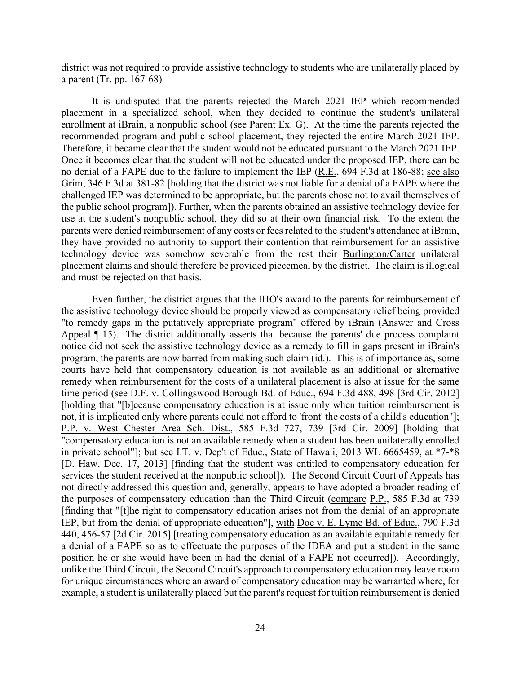district was not required to provide assistive technology to students who are unilaterally placed by a parent (Tr. pp. 167-68)

It is undisputed that the parents rejected the March 2021 IEP which recommended placement in a specialized school, when they decided to continue the student's unilateral enrollment at iBrain, a nonpublic school (see Parent Ex. G). At the time the parents rejected the recommended program and public school placement, they rejected the entire March 2021 IEP. Therefore, it became clear that the student would not be educated pursuant to the March 2021 IEP. Once it becomes clear that the student will not be educated under the proposed IEP, there can be no denial of a FAPE due to the failure to implement the IEP (R.E., 694 F.3d at 186-88; see also Grim, 346 F.3d at 381-82 [holding that the district was not liable for a denial of a FAPE where the challenged IEP was determined to be appropriate, but the parents chose not to avail themselves of the public school program]). Further, when the parents obtained an assistive technology device for use at the student's nonpublic school, they did so at their own financial risk. To the extent the parents were denied reimbursement of any costs or fees related to the student's attendance at iBrain, they have provided no authority to support their contention that reimbursement for an assistive technology device was somehow severable from the rest their Burlington/Carter unilateral placement claims and should therefore be provided piecemeal by the district. The claim is illogical and must be rejected on that basis.

Even further, the district argues that the IHO's award to the parents for reimbursement of the assistive technology device should be properly viewed as compensatory relief being provided "to remedy gaps in the putatively appropriate program" offered by iBrain (Answer and Cross Appeal ¶ 15). The district additionally asserts that because the parents' due process complaint notice did not seek the assistive technology device as a remedy to fill in gaps present in iBrain's program, the parents are now barred from making such claim  $(i_d)$ . This is of importance as, some courts have held that compensatory education is not available as an additional or alternative remedy when reimbursement for the costs of a unilateral placement is also at issue for the same time period (see D.F. v. Collingswood Borough Bd. of Educ., 694 F.3d 488, 498 [3rd Cir. 2012] [holding that "[b]ecause compensatory education is at issue only when tuition reimbursement is not, it is implicated only where parents could not afford to 'front' the costs of a child's education"]; P.P. v. West Chester Area Sch. Dist., 585 F.3d 727, 739 [3rd Cir. 2009] [holding that "compensatory education is not an available remedy when a student has been unilaterally enrolled in private school"]; but see I.T. v. Dep't of Educ., State of Hawaii, 2013 WL 6665459, at \*7-\*8 [D. Haw. Dec. 17, 2013] [finding that the student was entitled to compensatory education for services the student received at the nonpublic school]). The Second Circuit Court of Appeals has not directly addressed this question and, generally, appears to have adopted a broader reading of the purposes of compensatory education than the Third Circuit (compare P.P., 585 F.3d at 739 [finding that "[t]he right to compensatory education arises not from the denial of an appropriate IEP, but from the denial of appropriate education"], with Doe v. E. Lyme Bd. of Educ., 790 F.3d 440, 456-57 [2d Cir. 2015] [treating compensatory education as an available equitable remedy for a denial of a FAPE so as to effectuate the purposes of the IDEA and put a student in the same position he or she would have been in had the denial of a FAPE not occurred]). Accordingly, unlike the Third Circuit, the Second Circuit's approach to compensatory education may leave room for unique circumstances where an award of compensatory education may be warranted where, for example, a student is unilaterally placed but the parent's request for tuition reimbursement is denied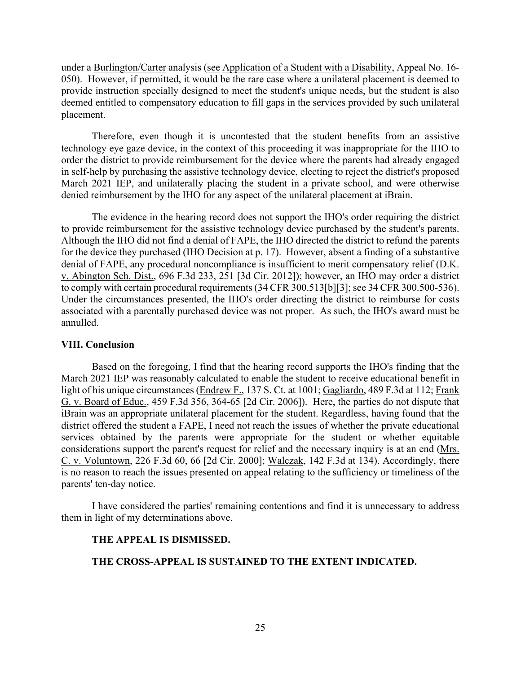under a Burlington/Carter analysis (see Application of a Student with a Disability, Appeal No. 16- 050). However, if permitted, it would be the rare case where a unilateral placement is deemed to provide instruction specially designed to meet the student's unique needs, but the student is also deemed entitled to compensatory education to fill gaps in the services provided by such unilateral placement.

Therefore, even though it is uncontested that the student benefits from an assistive technology eye gaze device, in the context of this proceeding it was inappropriate for the IHO to order the district to provide reimbursement for the device where the parents had already engaged in self-help by purchasing the assistive technology device, electing to reject the district's proposed March 2021 IEP, and unilaterally placing the student in a private school, and were otherwise denied reimbursement by the IHO for any aspect of the unilateral placement at iBrain.

The evidence in the hearing record does not support the IHO's order requiring the district to provide reimbursement for the assistive technology device purchased by the student's parents. Although the IHO did not find a denial of FAPE, the IHO directed the district to refund the parents for the device they purchased (IHO Decision at p. 17). However, absent a finding of a substantive denial of FAPE, any procedural noncompliance is insufficient to merit compensatory relief (D.K. v. Abington Sch. Dist., 696 F.3d 233, 251 [3d Cir. 2012]); however, an IHO may order a district to comply with certain procedural requirements (34 CFR 300.513[b][3]; see 34 CFR 300.500-536). Under the circumstances presented, the IHO's order directing the district to reimburse for costs associated with a parentally purchased device was not proper. As such, the IHO's award must be annulled.

#### **VIII. Conclusion**

Based on the foregoing, I find that the hearing record supports the IHO's finding that the March 2021 IEP was reasonably calculated to enable the student to receive educational benefit in light of his unique circumstances (Endrew F., 137 S. Ct. at 1001; Gagliardo, 489 F.3d at 112; Frank G. v. Board of Educ., 459 F.3d 356, 364-65 [2d Cir. 2006]). Here, the parties do not dispute that iBrain was an appropriate unilateral placement for the student. Regardless, having found that the district offered the student a FAPE, I need not reach the issues of whether the private educational services obtained by the parents were appropriate for the student or whether equitable considerations support the parent's request for relief and the necessary inquiry is at an end (Mrs. C. v. Voluntown, 226 F.3d 60, 66 [2d Cir. 2000]; Walczak, 142 F.3d at 134). Accordingly, there is no reason to reach the issues presented on appeal relating to the sufficiency or timeliness of the parents' ten-day notice.

I have considered the parties' remaining contentions and find it is unnecessary to address them in light of my determinations above.

#### **THE APPEAL IS DISMISSED.**

#### **THE CROSS-APPEAL IS SUSTAINED TO THE EXTENT INDICATED.**